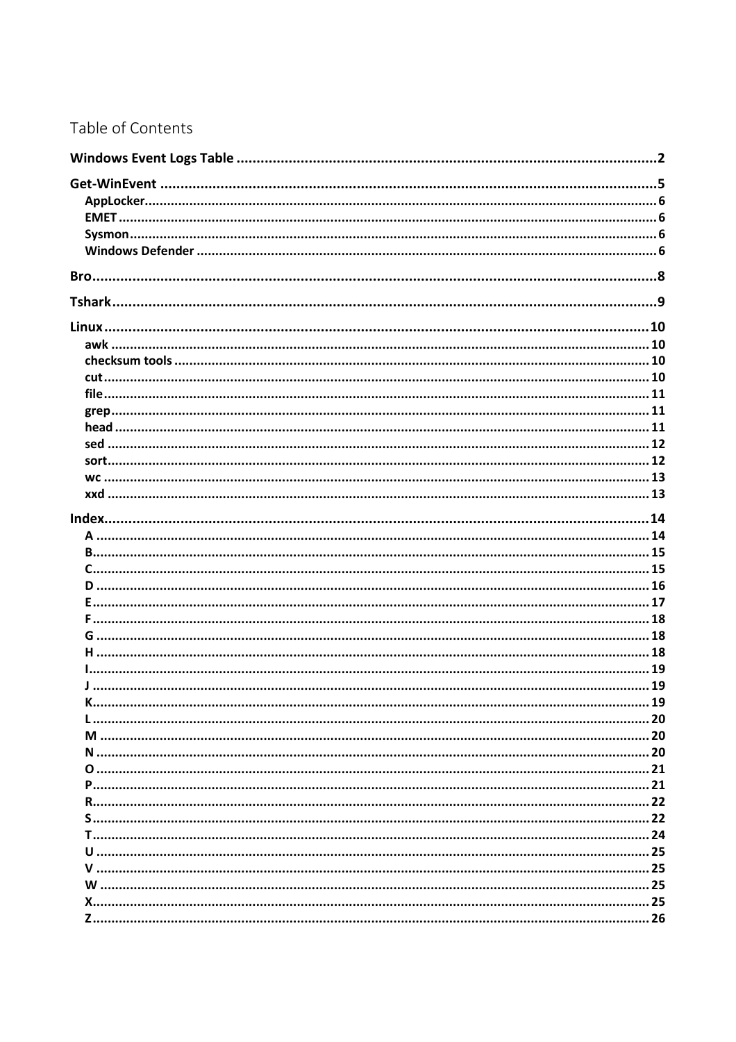### Table of Contents

| <u>Januarra mare maraorana massa 19</u> |  |
|-----------------------------------------|--|
|                                         |  |
|                                         |  |
|                                         |  |
|                                         |  |
|                                         |  |
|                                         |  |
|                                         |  |
|                                         |  |
|                                         |  |
|                                         |  |
|                                         |  |
|                                         |  |
|                                         |  |
|                                         |  |
|                                         |  |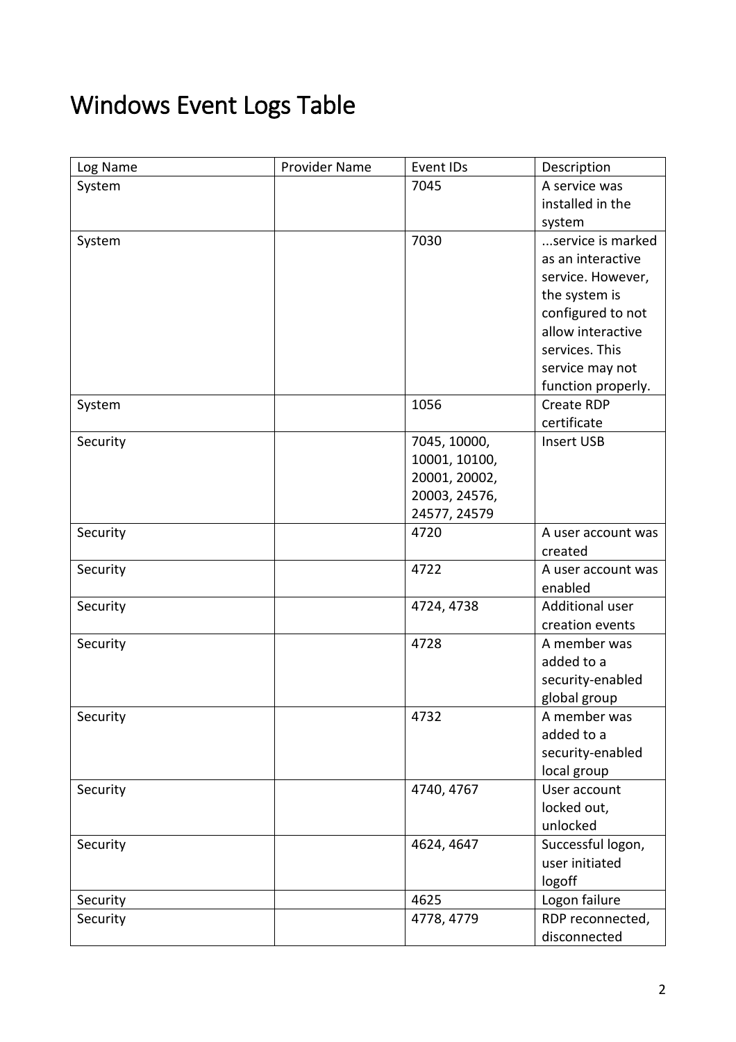# <span id="page-1-0"></span>Windows Event Logs Table

| Log Name | Provider Name | Event IDs     | Description        |
|----------|---------------|---------------|--------------------|
| System   |               | 7045          | A service was      |
|          |               |               | installed in the   |
|          |               |               | system             |
| System   |               | 7030          | service is marked  |
|          |               |               | as an interactive  |
|          |               |               | service. However,  |
|          |               |               | the system is      |
|          |               |               | configured to not  |
|          |               |               | allow interactive  |
|          |               |               | services. This     |
|          |               |               | service may not    |
|          |               |               | function properly. |
| System   |               | 1056          | Create RDP         |
|          |               |               | certificate        |
| Security |               | 7045, 10000,  | <b>Insert USB</b>  |
|          |               | 10001, 10100, |                    |
|          |               | 20001, 20002, |                    |
|          |               | 20003, 24576, |                    |
|          |               | 24577, 24579  |                    |
| Security |               | 4720          | A user account was |
|          |               |               | created            |
| Security |               | 4722          | A user account was |
|          |               |               | enabled            |
| Security |               | 4724, 4738    | Additional user    |
|          |               |               | creation events    |
| Security |               | 4728          | A member was       |
|          |               |               | added to a         |
|          |               |               | security-enabled   |
|          |               |               | global group       |
| Security |               | 4732          | A member was       |
|          |               |               | added to a         |
|          |               |               | security-enabled   |
|          |               |               | local group        |
| Security |               | 4740, 4767    | User account       |
|          |               |               | locked out,        |
|          |               |               | unlocked           |
| Security |               | 4624, 4647    | Successful logon,  |
|          |               |               | user initiated     |
|          |               |               | logoff             |
| Security |               | 4625          | Logon failure      |
| Security |               | 4778, 4779    | RDP reconnected,   |
|          |               |               | disconnected       |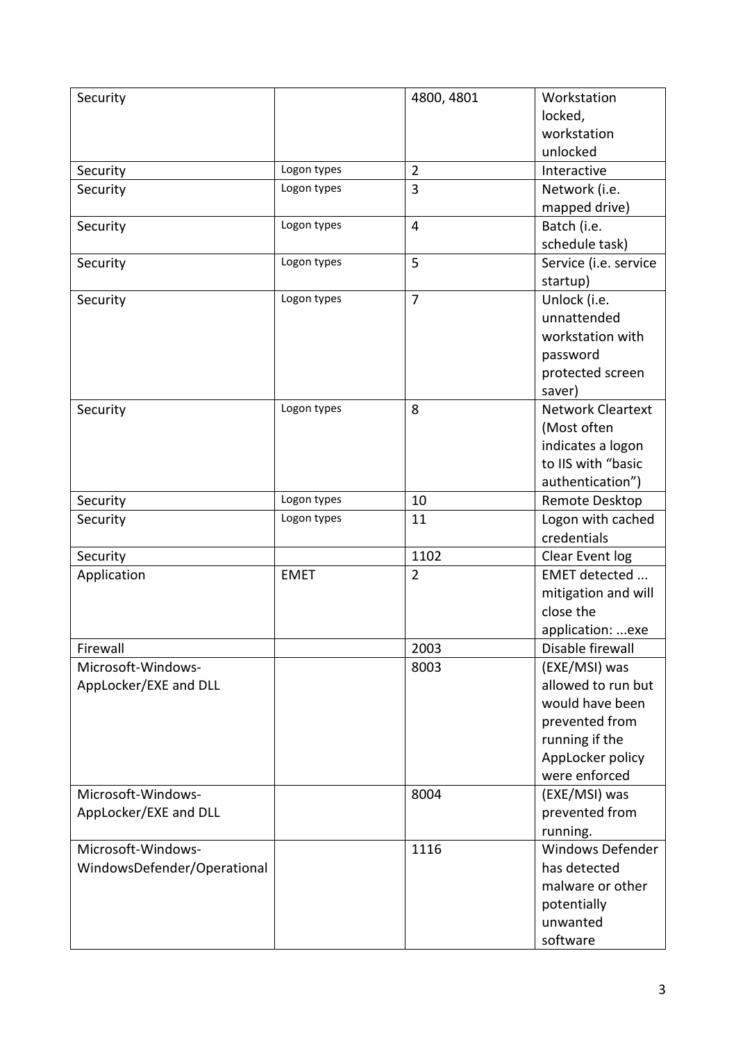| Security                    |             | 4800, 4801     | Workstation              |
|-----------------------------|-------------|----------------|--------------------------|
|                             |             |                | locked,                  |
|                             |             |                | workstation              |
|                             |             |                | unlocked                 |
| Security                    | Logon types | $\overline{2}$ | Interactive              |
| Security                    | Logon types | 3              | Network (i.e.            |
|                             |             |                | mapped drive)            |
| Security                    | Logon types | $\overline{4}$ | Batch (i.e.              |
|                             |             |                | schedule task)           |
| Security                    | Logon types | 5              | Service (i.e. service    |
|                             |             |                | startup)                 |
| Security                    | Logon types | $\overline{7}$ | Unlock (i.e.             |
|                             |             |                | unnattended              |
|                             |             |                | workstation with         |
|                             |             |                | password                 |
|                             |             |                | protected screen         |
|                             |             |                | saver)                   |
| Security                    | Logon types | 8              | <b>Network Cleartext</b> |
|                             |             |                | (Most often              |
|                             |             |                | indicates a logon        |
|                             |             |                | to IIS with "basic       |
|                             |             |                | authentication")         |
| Security                    | Logon types | 10             | Remote Desktop           |
| Security                    | Logon types | 11             | Logon with cached        |
|                             |             |                | credentials              |
| Security                    |             | 1102           | Clear Event log          |
| Application                 | <b>EMET</b> | $\overline{2}$ | EMET detected            |
|                             |             |                | mitigation and will      |
|                             |             |                | close the                |
|                             |             |                | application: exe         |
| Firewall                    |             | 2003           | Disable firewall         |
| Microsoft-Windows-          |             | 8003           | (EXE/MSI) was            |
| AppLocker/EXE and DLL       |             |                | allowed to run but       |
|                             |             |                | would have been          |
|                             |             |                | prevented from           |
|                             |             |                | running if the           |
|                             |             |                | AppLocker policy         |
|                             |             |                | were enforced            |
| Microsoft-Windows-          |             | 8004           | (EXE/MSI) was            |
| AppLocker/EXE and DLL       |             |                | prevented from           |
|                             |             |                | running.                 |
| Microsoft-Windows-          |             | 1116           | Windows Defender         |
| WindowsDefender/Operational |             |                | has detected             |
|                             |             |                | malware or other         |
|                             |             |                | potentially              |
|                             |             |                | unwanted                 |
|                             |             |                | software                 |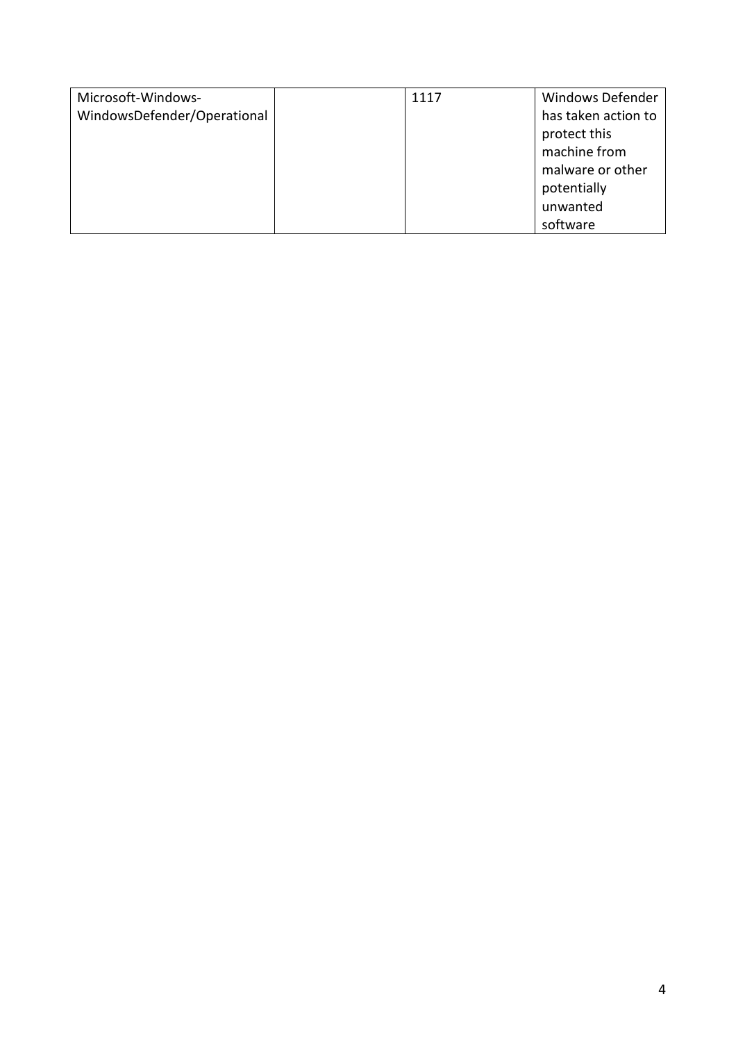| Microsoft-Windows-          | 1117 | <b>Windows Defender</b> |
|-----------------------------|------|-------------------------|
| WindowsDefender/Operational |      | has taken action to     |
|                             |      | protect this            |
|                             |      | machine from            |
|                             |      | malware or other        |
|                             |      | potentially             |
|                             |      | unwanted                |
|                             |      | software                |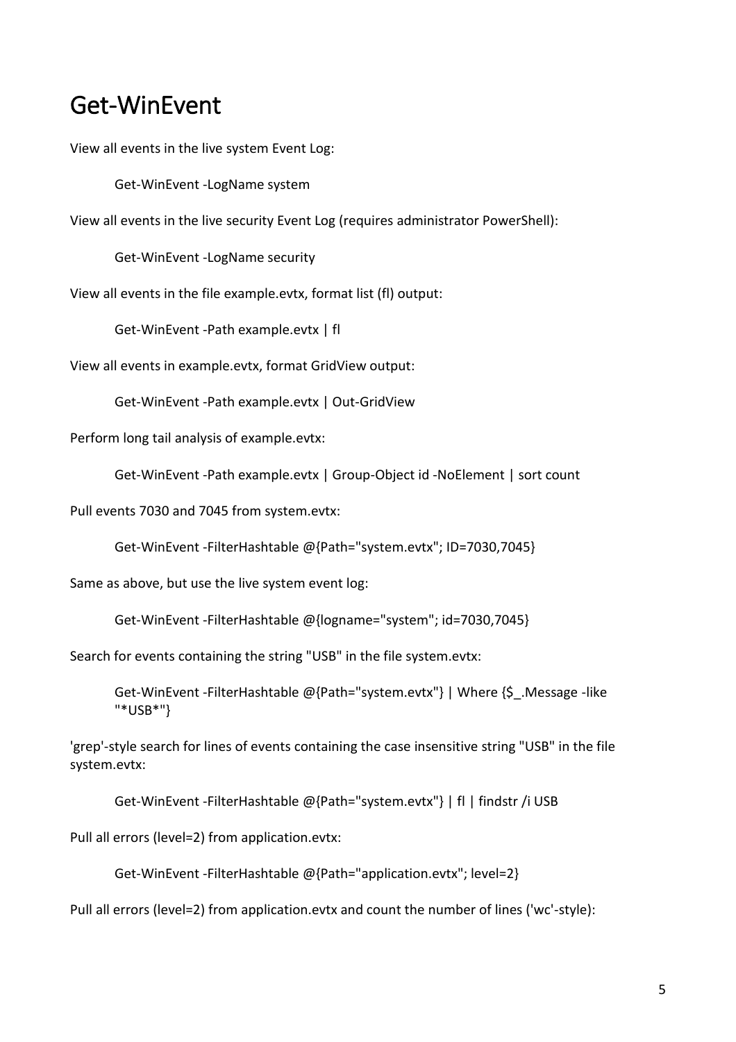## <span id="page-4-0"></span>Get-WinEvent

View all events in the live system Event Log:

Get-WinEvent -LogName system

View all events in the live security Event Log (requires administrator PowerShell):

Get-WinEvent -LogName security

View all events in the file example.evtx, format list (fl) output:

Get-WinEvent -Path example.evtx | fl

View all events in example.evtx, format GridView output:

Get-WinEvent -Path example.evtx | Out-GridView

Perform long tail analysis of example.evtx:

Get-WinEvent -Path example.evtx | Group-Object id -NoElement | sort count

Pull events 7030 and 7045 from system.evtx:

Get-WinEvent -FilterHashtable @{Path="system.evtx"; ID=7030,7045}

Same as above, but use the live system event log:

Get-WinEvent -FilterHashtable @{logname="system"; id=7030,7045}

Search for events containing the string "USB" in the file system.evtx:

Get-WinEvent -FilterHashtable @{Path="system.evtx"} | Where {\$. Message -like "\*USB\*"}

'grep'-style search for lines of events containing the case insensitive string "USB" in the file system.evtx:

Get-WinEvent -FilterHashtable @{Path="system.evtx"} | fl | findstr /i USB

Pull all errors (level=2) from application.evtx:

Get-WinEvent -FilterHashtable @{Path="application.evtx"; level=2}

Pull all errors (level=2) from application.evtx and count the number of lines ('wc'-style):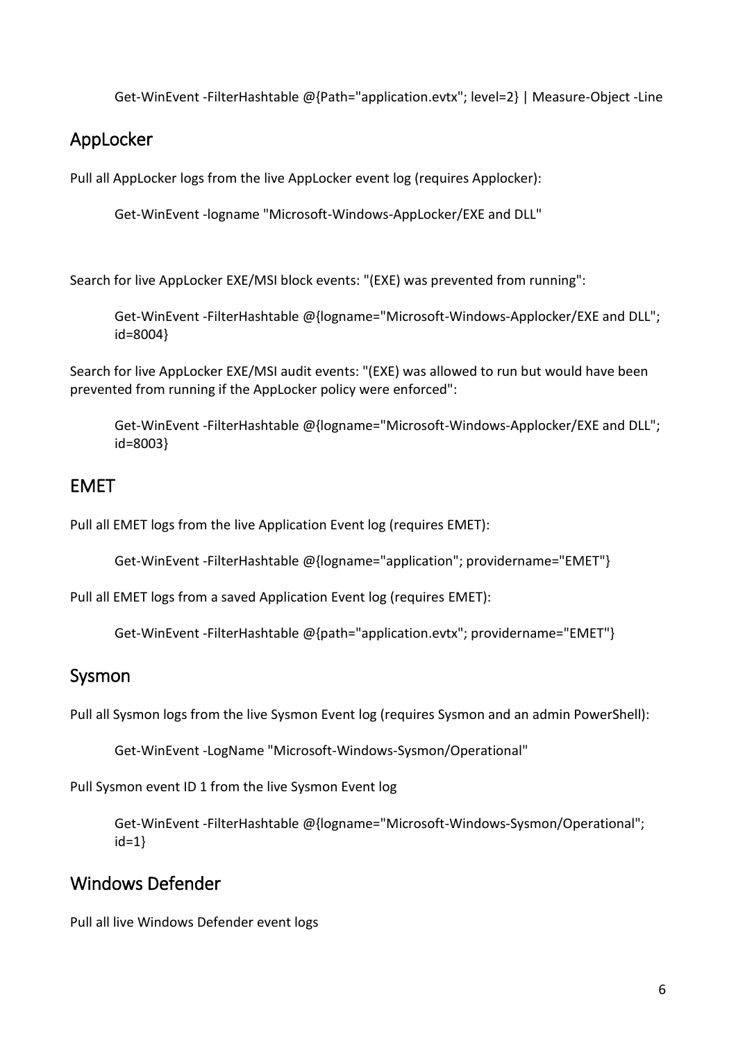Get-WinEvent -FilterHashtable @{Path="application.evtx"; level=2} | Measure-Object -Line

### <span id="page-5-0"></span>AppLocker

Pull all AppLocker logs from the live AppLocker event log (requires Applocker):

Get-WinEvent -logname "Microsoft-Windows-AppLocker/EXE and DLL"

Search for live AppLocker EXE/MSI block events: "(EXE) was prevented from running":

Get-WinEvent -FilterHashtable @{logname="Microsoft-Windows-Applocker/EXE and DLL"; id=8004}

Search for live AppLocker EXE/MSI audit events: "(EXE) was allowed to run but would have been prevented from running if the AppLocker policy were enforced":

Get-WinEvent -FilterHashtable @{logname="Microsoft-Windows-Applocker/EXE and DLL"; id=8003}

### <span id="page-5-1"></span>EMET

Pull all EMET logs from the live Application Event log (requires EMET):

Get-WinEvent -FilterHashtable @{logname="application"; providername="EMET"}

Pull all EMET logs from a saved Application Event log (requires EMET):

Get-WinEvent -FilterHashtable @{path="application.evtx"; providername="EMET"}

### <span id="page-5-2"></span>Sysmon

Pull all Sysmon logs from the live Sysmon Event log (requires Sysmon and an admin PowerShell):

Get-WinEvent -LogName "Microsoft-Windows-Sysmon/Operational"

Pull Sysmon event ID 1 from the live Sysmon Event log

Get-WinEvent -FilterHashtable @{logname="Microsoft-Windows-Sysmon/Operational"; id=1}

## <span id="page-5-3"></span>Windows Defender

Pull all live Windows Defender event logs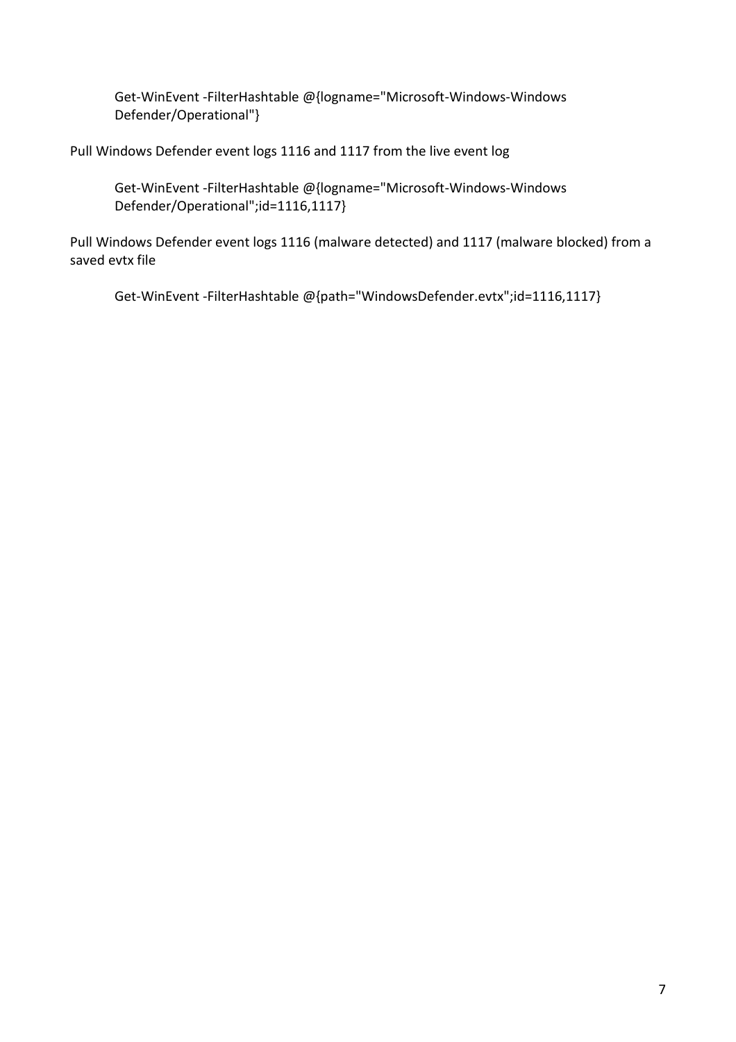Get-WinEvent -FilterHashtable @{logname="Microsoft-Windows-Windows Defender/Operational"}

Pull Windows Defender event logs 1116 and 1117 from the live event log

Get-WinEvent -FilterHashtable @{logname="Microsoft-Windows-Windows Defender/Operational";id=1116,1117}

Pull Windows Defender event logs 1116 (malware detected) and 1117 (malware blocked) from a saved evtx file

Get-WinEvent -FilterHashtable @{path="WindowsDefender.evtx";id=1116,1117}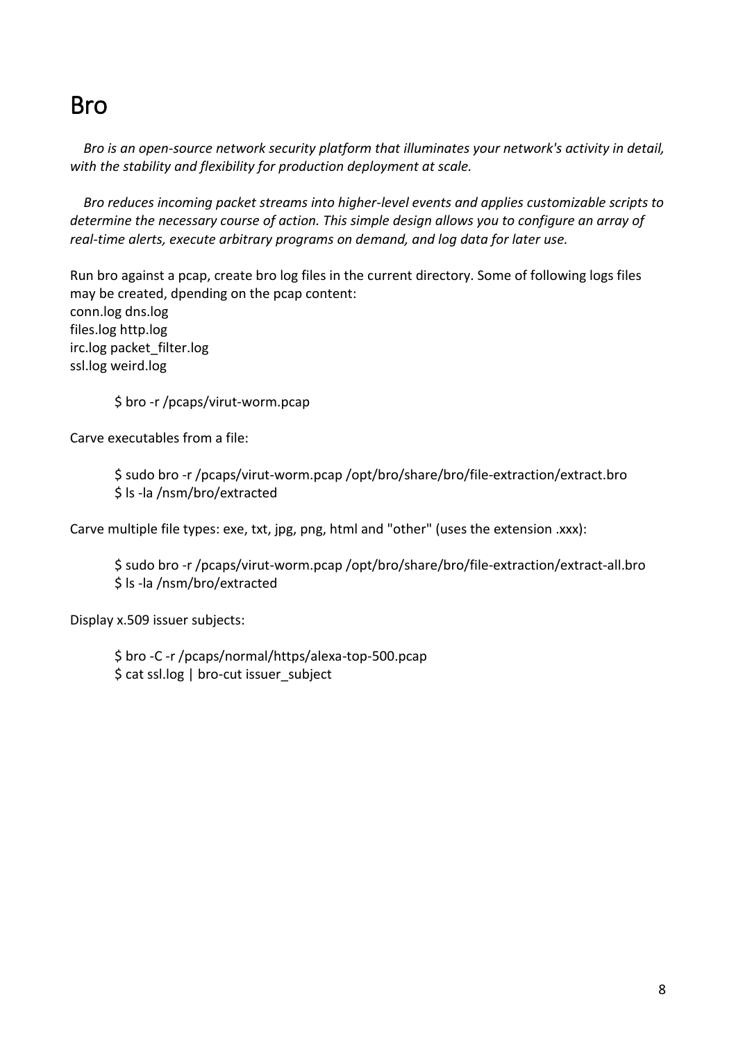## <span id="page-7-0"></span>Bro

 *Bro is an open-source network security platform that illuminates your network's activity in detail, with the stability and flexibility for production deployment at scale.*

 *Bro reduces incoming packet streams into higher-level events and applies customizable scripts to determine the necessary course of action. This simple design allows you to configure an array of real-time alerts, execute arbitrary programs on demand, and log data for later use.*

Run bro against a pcap, create bro log files in the current directory. Some of following logs files may be created, dpending on the pcap content: conn.log dns.log files.log http.log irc.log packet\_filter.log ssl.log weird.log

\$ bro -r /pcaps/virut-worm.pcap

Carve executables from a file:

\$ sudo bro -r /pcaps/virut-worm.pcap /opt/bro/share/bro/file-extraction/extract.bro \$ ls -la /nsm/bro/extracted

Carve multiple file types: exe, txt, jpg, png, html and "other" (uses the extension .xxx):

\$ sudo bro -r /pcaps/virut-worm.pcap /opt/bro/share/bro/file-extraction/extract-all.bro \$ ls -la /nsm/bro/extracted

Display x.509 issuer subjects:

\$ bro -C -r /pcaps/normal/https/alexa-top-500.pcap \$ cat ssl.log | bro-cut issuer\_subject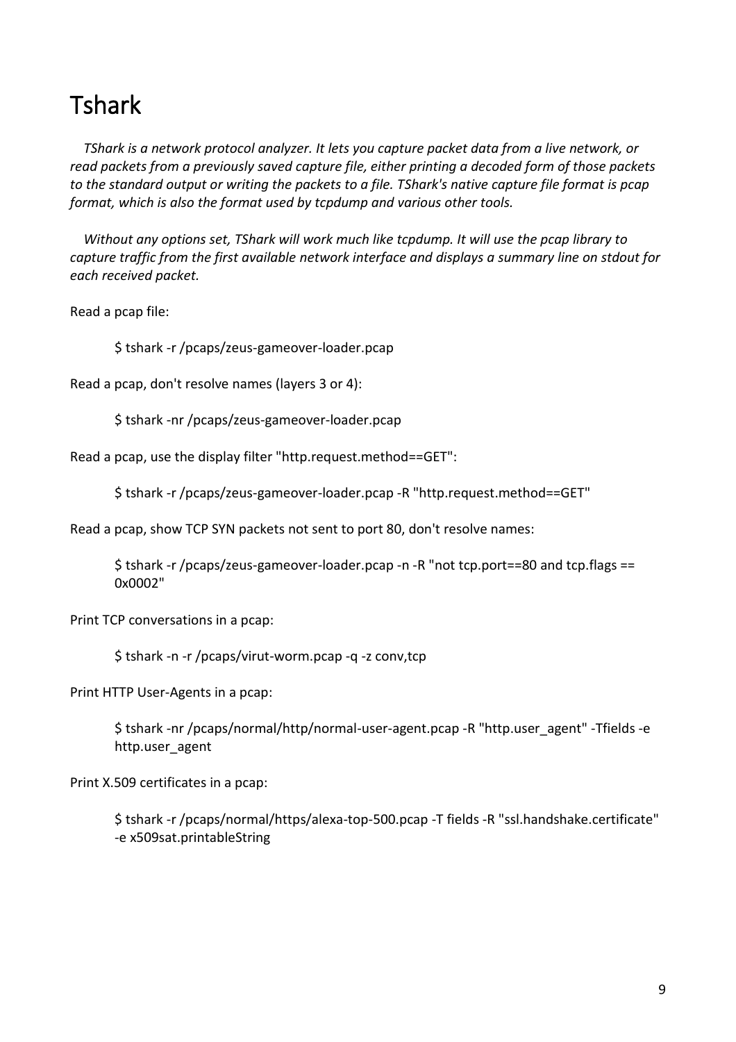## <span id="page-8-0"></span>**Tshark**

 *TShark is a network protocol analyzer. It lets you capture packet data from a live network, or read packets from a previously saved capture file, either printing a decoded form of those packets to the standard output or writing the packets to a file. TShark's native capture file format is pcap format, which is also the format used by tcpdump and various other tools.*

 *Without any options set, TShark will work much like tcpdump. It will use the pcap library to capture traffic from the first available network interface and displays a summary line on stdout for each received packet.*

Read a pcap file:

\$ tshark -r /pcaps/zeus-gameover-loader.pcap

Read a pcap, don't resolve names (layers 3 or 4):

\$ tshark -nr /pcaps/zeus-gameover-loader.pcap

Read a pcap, use the display filter "http.request.method==GET":

\$ tshark -r /pcaps/zeus-gameover-loader.pcap -R "http.request.method==GET"

Read a pcap, show TCP SYN packets not sent to port 80, don't resolve names:

\$ tshark -r /pcaps/zeus-gameover-loader.pcap -n -R "not tcp.port==80 and tcp.flags == 0x0002"

Print TCP conversations in a pcap:

\$ tshark -n -r /pcaps/virut-worm.pcap -q -z conv,tcp

Print HTTP User-Agents in a pcap:

\$ tshark -nr /pcaps/normal/http/normal-user-agent.pcap -R "http.user\_agent" -Tfields -e http.user\_agent

Print X.509 certificates in a pcap:

\$ tshark -r /pcaps/normal/https/alexa-top-500.pcap -T fields -R "ssl.handshake.certificate" -e x509sat.printableString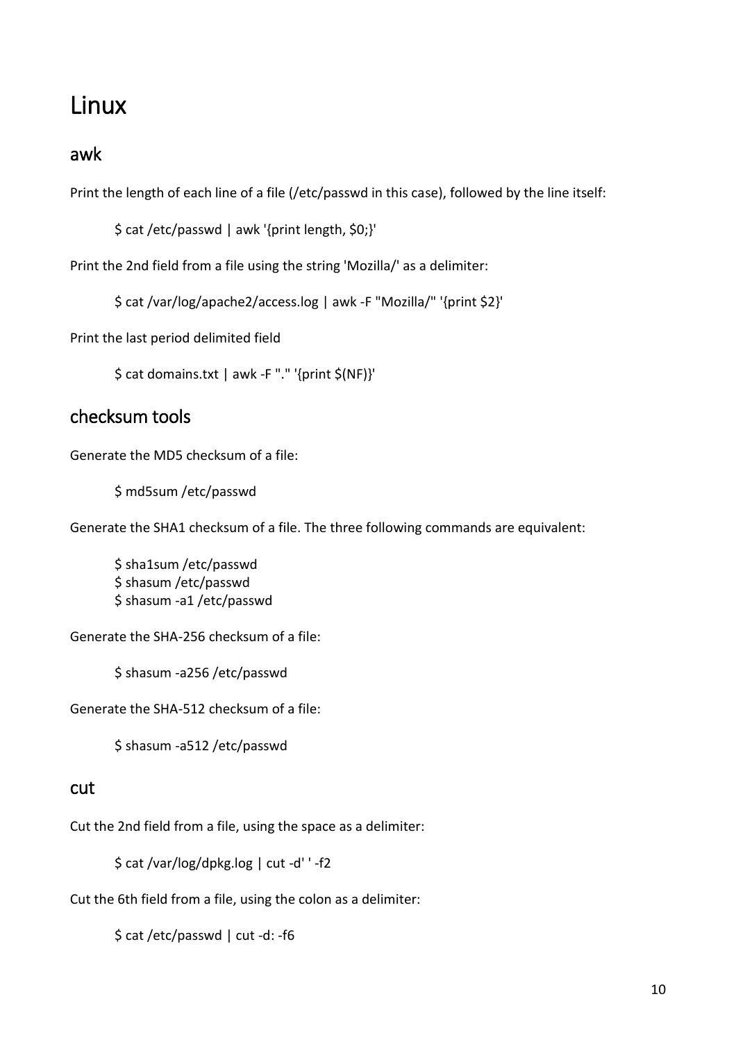## <span id="page-9-0"></span>Linux

#### <span id="page-9-1"></span>awk

Print the length of each line of a file (/etc/passwd in this case), followed by the line itself:

\$ cat /etc/passwd | awk '{print length, \$0;}'

Print the 2nd field from a file using the string 'Mozilla/' as a delimiter:

\$ cat /var/log/apache2/access.log | awk -F "Mozilla/" '{print \$2}'

Print the last period delimited field

\$ cat domains.txt | awk -F "." '{print \$(NF)}'

### <span id="page-9-2"></span>checksum tools

Generate the MD5 checksum of a file:

\$ md5sum /etc/passwd

Generate the SHA1 checksum of a file. The three following commands are equivalent:

\$ sha1sum /etc/passwd \$ shasum /etc/passwd \$ shasum -a1 /etc/passwd

Generate the SHA-256 checksum of a file:

\$ shasum -a256 /etc/passwd

Generate the SHA-512 checksum of a file:

\$ shasum -a512 /etc/passwd

#### <span id="page-9-3"></span>cut

Cut the 2nd field from a file, using the space as a delimiter:

\$ cat /var/log/dpkg.log | cut -d' ' -f2

Cut the 6th field from a file, using the colon as a delimiter:

\$ cat /etc/passwd | cut -d: -f6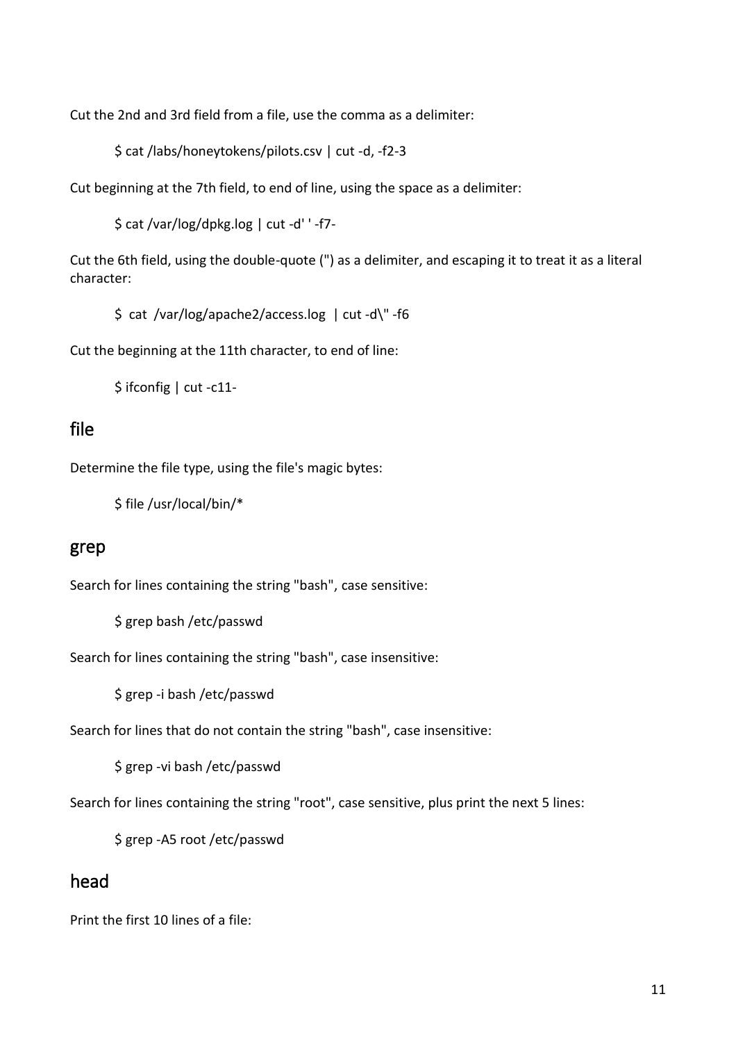Cut the 2nd and 3rd field from a file, use the comma as a delimiter:

\$ cat /labs/honeytokens/pilots.csv | cut -d, -f2-3

Cut beginning at the 7th field, to end of line, using the space as a delimiter:

\$ cat /var/log/dpkg.log | cut -d' ' -f7-

Cut the 6th field, using the double-quote (") as a delimiter, and escaping it to treat it as a literal character:

\$ cat /var/log/apache2/access.log | cut -d\" -f6

Cut the beginning at the 11th character, to end of line:

\$ ifconfig | cut -c11-

#### <span id="page-10-0"></span>file

Determine the file type, using the file's magic bytes:

\$ file /usr/local/bin/\*

#### <span id="page-10-1"></span>grep

Search for lines containing the string "bash", case sensitive:

\$ grep bash /etc/passwd

Search for lines containing the string "bash", case insensitive:

\$ grep -i bash /etc/passwd

Search for lines that do not contain the string "bash", case insensitive:

\$ grep -vi bash /etc/passwd

Search for lines containing the string "root", case sensitive, plus print the next 5 lines:

\$ grep -A5 root /etc/passwd

#### <span id="page-10-2"></span>head

Print the first 10 lines of a file: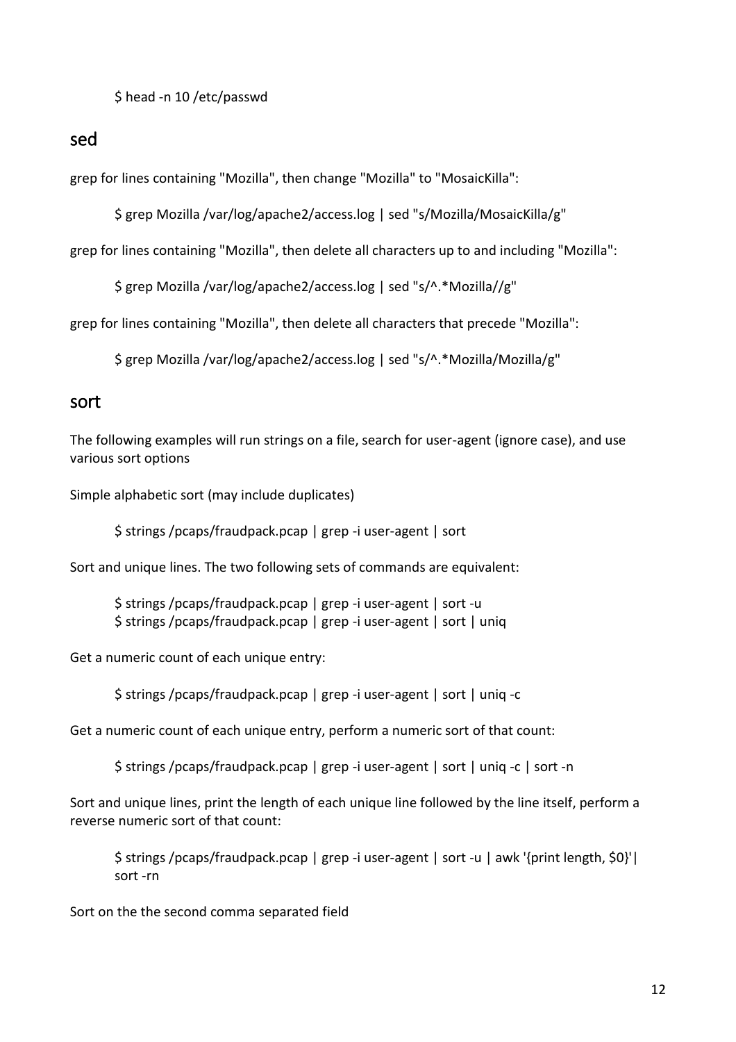\$ head -n 10 /etc/passwd

<span id="page-11-0"></span>sed

grep for lines containing "Mozilla", then change "Mozilla" to "MosaicKilla":

\$ grep Mozilla /var/log/apache2/access.log | sed "s/Mozilla/MosaicKilla/g"

grep for lines containing "Mozilla", then delete all characters up to and including "Mozilla":

\$ grep Mozilla /var/log/apache2/access.log | sed "s/^.\*Mozilla//g"

grep for lines containing "Mozilla", then delete all characters that precede "Mozilla":

\$ grep Mozilla /var/log/apache2/access.log | sed "s/^.\*Mozilla/Mozilla/g"

#### <span id="page-11-1"></span>sort

The following examples will run strings on a file, search for user-agent (ignore case), and use various sort options

Simple alphabetic sort (may include duplicates)

\$ strings /pcaps/fraudpack.pcap | grep -i user-agent | sort

Sort and unique lines. The two following sets of commands are equivalent:

\$ strings /pcaps/fraudpack.pcap | grep -i user-agent | sort -u \$ strings /pcaps/fraudpack.pcap | grep -i user-agent | sort | uniq

Get a numeric count of each unique entry:

\$ strings /pcaps/fraudpack.pcap | grep -i user-agent | sort | uniq -c

Get a numeric count of each unique entry, perform a numeric sort of that count:

\$ strings /pcaps/fraudpack.pcap | grep -i user-agent | sort | uniq -c | sort -n

Sort and unique lines, print the length of each unique line followed by the line itself, perform a reverse numeric sort of that count:

\$ strings /pcaps/fraudpack.pcap | grep -i user-agent | sort -u | awk '{print length, \$0}'| sort -rn

Sort on the the second comma separated field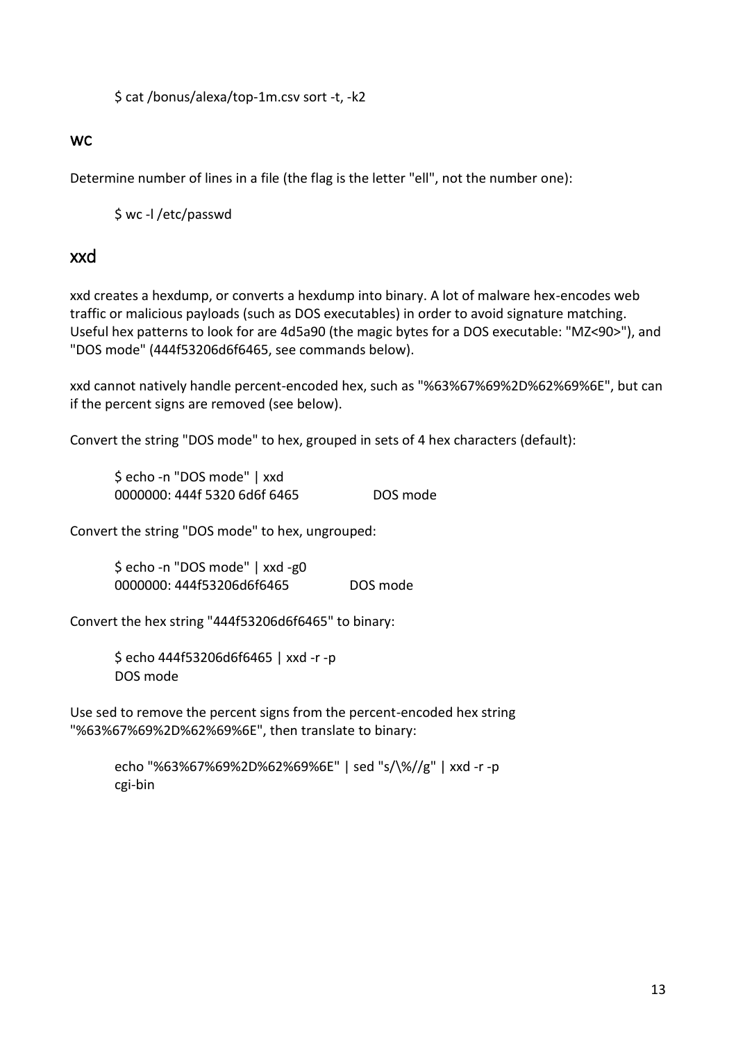\$ cat /bonus/alexa/top-1m.csv sort -t, -k2

#### <span id="page-12-0"></span>**WC**

Determine number of lines in a file (the flag is the letter "ell", not the number one):

\$ wc -l /etc/passwd

#### <span id="page-12-1"></span>xxd

xxd creates a hexdump, or converts a hexdump into binary. A lot of malware hex-encodes web traffic or malicious payloads (such as DOS executables) in order to avoid signature matching. Useful hex patterns to look for are 4d5a90 (the magic bytes for a DOS executable: "MZ<90>"), and "DOS mode" (444f53206d6f6465, see commands below).

xxd cannot natively handle percent-encoded hex, such as "%63%67%69%2D%62%69%6E", but can if the percent signs are removed (see below).

Convert the string "DOS mode" to hex, grouped in sets of 4 hex characters (default):

\$ echo -n "DOS mode" | xxd 0000000: 444f 5320 6d6f 6465 DOS mode

Convert the string "DOS mode" to hex, ungrouped:

\$ echo -n "DOS mode" | xxd -g0 0000000: 444f53206d6f6465 DOS mode

Convert the hex string "444f53206d6f6465" to binary:

\$ echo 444f53206d6f6465 | xxd -r -p DOS mode

Use sed to remove the percent signs from the percent-encoded hex string "%63%67%69%2D%62%69%6E", then translate to binary:

echo "%63%67%69%2D%62%69%6E" | sed "s/\%//g" | xxd -r -p cgi-bin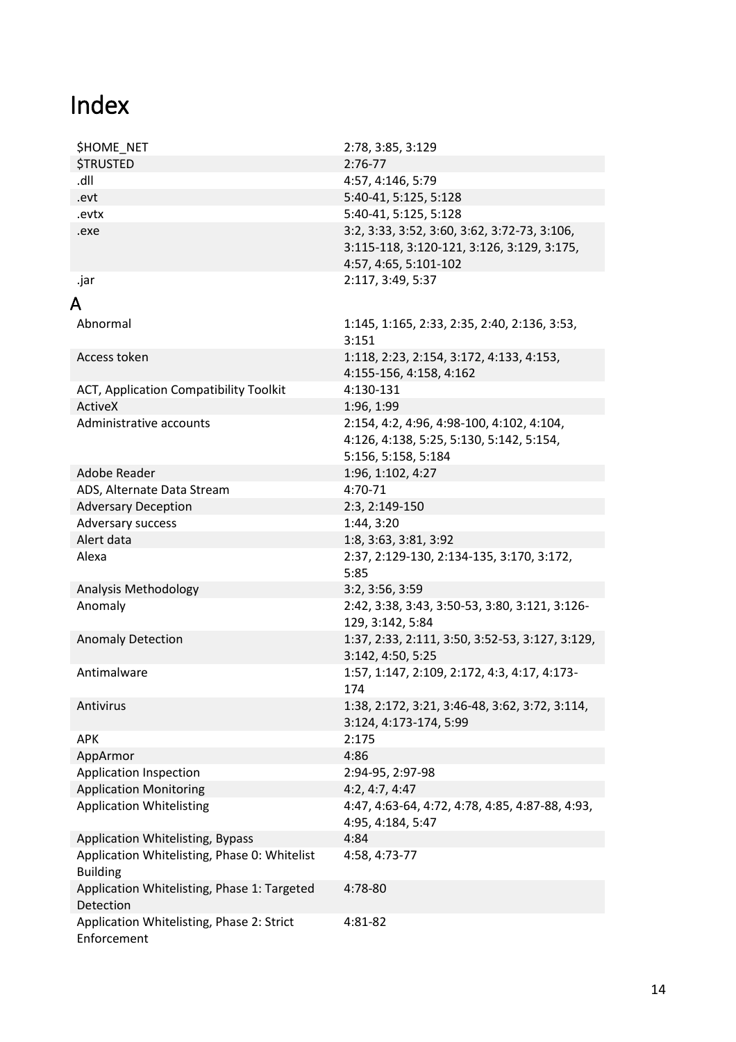# <span id="page-13-0"></span>Index

<span id="page-13-1"></span>

| <b>\$HOME NET</b>                                        | 2:78, 3:85, 3:129                                 |
|----------------------------------------------------------|---------------------------------------------------|
| <b>\$TRUSTED</b>                                         | $2:76-77$                                         |
| Ilb.                                                     | 4:57, 4:146, 5:79                                 |
| .evt                                                     | 5:40-41, 5:125, 5:128                             |
| .evtx                                                    | 5:40-41, 5:125, 5:128                             |
| .exe                                                     | 3:2, 3:33, 3:52, 3:60, 3:62, 3:72-73, 3:106,      |
|                                                          | 3:115-118, 3:120-121, 3:126, 3:129, 3:175,        |
|                                                          | 4:57, 4:65, 5:101-102                             |
| .jar                                                     | 2:117, 3:49, 5:37                                 |
| A                                                        |                                                   |
| Abnormal                                                 |                                                   |
|                                                          | 1:145, 1:165, 2:33, 2:35, 2:40, 2:136, 3:53,      |
| Access token                                             | 3:151<br>1:118, 2:23, 2:154, 3:172, 4:133, 4:153, |
|                                                          | 4:155-156, 4:158, 4:162                           |
| ACT, Application Compatibility Toolkit                   | 4:130-131                                         |
| <b>ActiveX</b>                                           | 1:96, 1:99                                        |
| Administrative accounts                                  | 2:154, 4:2, 4:96, 4:98-100, 4:102, 4:104,         |
|                                                          | 4:126, 4:138, 5:25, 5:130, 5:142, 5:154,          |
|                                                          | 5:156, 5:158, 5:184                               |
| Adobe Reader                                             | 1:96, 1:102, 4:27                                 |
| ADS, Alternate Data Stream                               | 4:70-71                                           |
| <b>Adversary Deception</b>                               | 2:3, 2:149-150                                    |
| Adversary success                                        | 1:44, 3:20                                        |
| Alert data                                               | 1:8, 3:63, 3:81, 3:92                             |
| Alexa                                                    | 2:37, 2:129-130, 2:134-135, 3:170, 3:172,         |
|                                                          | 5:85                                              |
| Analysis Methodology                                     | 3:2, 3:56, 3:59                                   |
| Anomaly                                                  | 2:42, 3:38, 3:43, 3:50-53, 3:80, 3:121, 3:126-    |
|                                                          | 129, 3:142, 5:84                                  |
| <b>Anomaly Detection</b>                                 | 1:37, 2:33, 2:111, 3:50, 3:52-53, 3:127, 3:129,   |
|                                                          | 3:142, 4:50, 5:25                                 |
| Antimalware                                              | 1:57, 1:147, 2:109, 2:172, 4:3, 4:17, 4:173-      |
|                                                          | 174                                               |
| Antivirus                                                | 1:38, 2:172, 3:21, 3:46-48, 3:62, 3:72, 3:114,    |
|                                                          | 3:124, 4:173-174, 5:99                            |
| <b>APK</b>                                               | 2:175                                             |
| AppArmor                                                 | 4:86                                              |
| <b>Application Inspection</b>                            | 2:94-95, 2:97-98                                  |
| <b>Application Monitoring</b>                            | 4:2, 4:7, 4:47                                    |
| <b>Application Whitelisting</b>                          | 4:47, 4:63-64, 4:72, 4:78, 4:85, 4:87-88, 4:93,   |
|                                                          | 4:95, 4:184, 5:47                                 |
| Application Whitelisting, Bypass                         | 4:84                                              |
| Application Whitelisting, Phase 0: Whitelist             | 4:58, 4:73-77                                     |
| <b>Building</b>                                          | 4:78-80                                           |
| Application Whitelisting, Phase 1: Targeted<br>Detection |                                                   |
|                                                          |                                                   |
| Application Whitelisting, Phase 2: Strict                | 4:81-82                                           |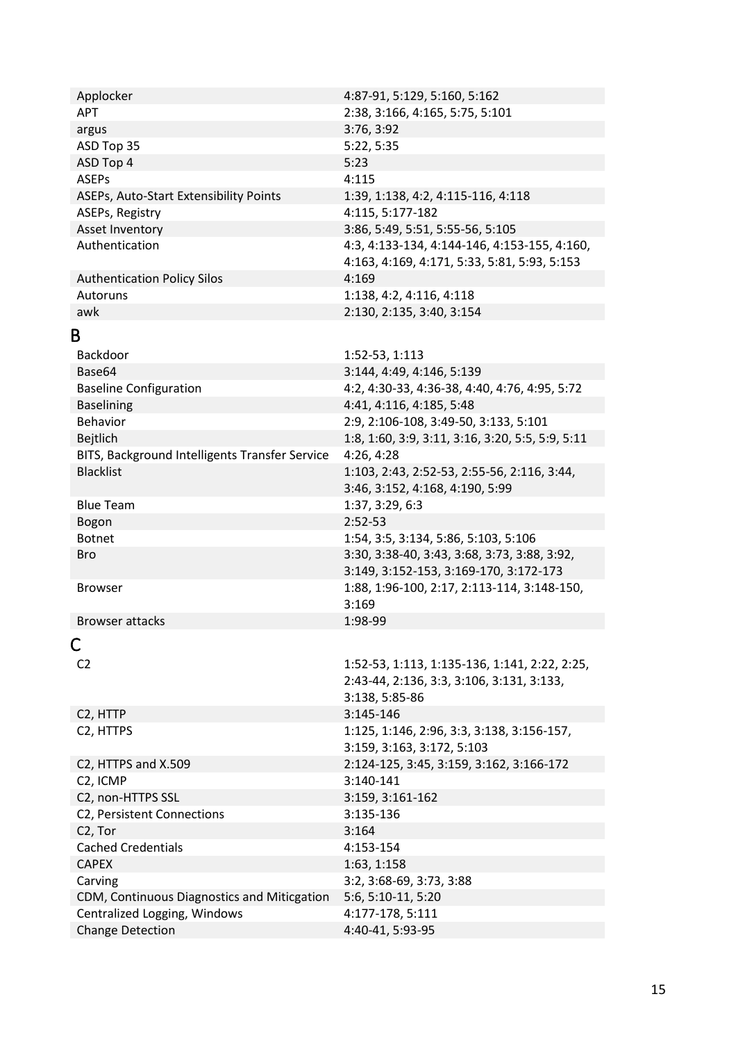<span id="page-14-1"></span><span id="page-14-0"></span>

| Applocker                                      | 4:87-91, 5:129, 5:160, 5:162                     |
|------------------------------------------------|--------------------------------------------------|
| <b>APT</b>                                     | 2:38, 3:166, 4:165, 5:75, 5:101                  |
| argus                                          | 3:76, 3:92                                       |
| ASD Top 35                                     | 5:22, 5:35                                       |
| ASD Top 4                                      | 5:23                                             |
| <b>ASEPs</b>                                   | 4:115                                            |
| ASEPs, Auto-Start Extensibility Points         | 1:39, 1:138, 4:2, 4:115-116, 4:118               |
| ASEPs, Registry                                | 4:115, 5:177-182                                 |
| Asset Inventory                                | 3:86, 5:49, 5:51, 5:55-56, 5:105                 |
| Authentication                                 | 4:3, 4:133-134, 4:144-146, 4:153-155, 4:160,     |
|                                                | 4:163, 4:169, 4:171, 5:33, 5:81, 5:93, 5:153     |
| <b>Authentication Policy Silos</b>             | 4:169                                            |
| Autoruns                                       | 1:138, 4:2, 4:116, 4:118                         |
| awk                                            | 2:130, 2:135, 3:40, 3:154                        |
| B                                              |                                                  |
| Backdoor                                       | 1:52-53, 1:113                                   |
| Base64                                         | 3:144, 4:49, 4:146, 5:139                        |
| <b>Baseline Configuration</b>                  | 4:2, 4:30-33, 4:36-38, 4:40, 4:76, 4:95, 5:72    |
| <b>Baselining</b>                              | 4:41, 4:116, 4:185, 5:48                         |
| <b>Behavior</b>                                | 2:9, 2:106-108, 3:49-50, 3:133, 5:101            |
| Bejtlich                                       | 1:8, 1:60, 3:9, 3:11, 3:16, 3:20, 5:5, 5:9, 5:11 |
| BITS, Background Intelligents Transfer Service | 4:26, 4:28                                       |
| <b>Blacklist</b>                               | 1:103, 2:43, 2:52-53, 2:55-56, 2:116, 3:44,      |
|                                                | 3:46, 3:152, 4:168, 4:190, 5:99                  |
| <b>Blue Team</b>                               | 1:37, 3:29, 6:3                                  |
| Bogon                                          | $2:52-53$                                        |
| <b>Botnet</b>                                  | 1:54, 3:5, 3:134, 5:86, 5:103, 5:106             |
| <b>Bro</b>                                     | 3:30, 3:38-40, 3:43, 3:68, 3:73, 3:88, 3:92,     |
|                                                | 3:149, 3:152-153, 3:169-170, 3:172-173           |
| Browser                                        | 1:88, 1:96-100, 2:17, 2:113-114, 3:148-150,      |
|                                                | 3:169                                            |
| <b>Browser attacks</b>                         | 1:98-99                                          |
|                                                |                                                  |
| Ċ                                              |                                                  |
| C <sub>2</sub>                                 | 1:52-53, 1:113, 1:135-136, 1:141, 2:22, 2:25,    |
|                                                | 2:43-44, 2:136, 3:3, 3:106, 3:131, 3:133,        |
|                                                | 3:138, 5:85-86                                   |
| C <sub>2</sub> , HTTP                          | 3:145-146                                        |
| C <sub>2</sub> , HTTPS                         | 1:125, 1:146, 2:96, 3:3, 3:138, 3:156-157,       |
|                                                | 3:159, 3:163, 3:172, 5:103                       |
| C2, HTTPS and X.509                            | 2:124-125, 3:45, 3:159, 3:162, 3:166-172         |
| C <sub>2</sub> , ICMP                          | 3:140-141                                        |
| C2, non-HTTPS SSL                              | 3:159, 3:161-162                                 |
| C2, Persistent Connections                     | 3:135-136                                        |
| C <sub>2</sub> , Tor                           | 3:164                                            |
| <b>Cached Credentials</b>                      | 4:153-154                                        |
| <b>CAPEX</b>                                   | 1:63, 1:158                                      |
| Carving                                        | 3:2, 3:68-69, 3:73, 3:88                         |
| CDM, Continuous Diagnostics and Miticgation    | 5:6, 5:10-11, 5:20                               |
| Centralized Logging, Windows                   | 4:177-178, 5:111                                 |
| <b>Change Detection</b>                        | 4:40-41, 5:93-95                                 |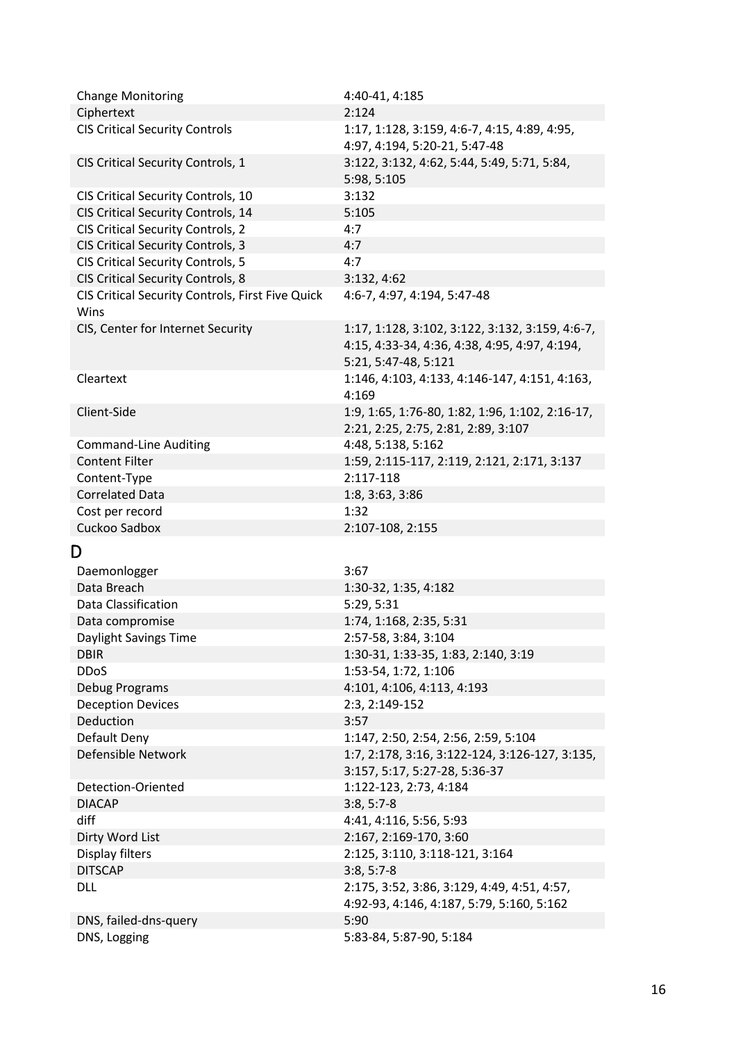<span id="page-15-0"></span>

| <b>Change Monitoring</b>                         | 4:40-41, 4:185                                                                                                           |
|--------------------------------------------------|--------------------------------------------------------------------------------------------------------------------------|
| Ciphertext                                       | 2:124                                                                                                                    |
| <b>CIS Critical Security Controls</b>            | 1:17, 1:128, 3:159, 4:6-7, 4:15, 4:89, 4:95,<br>4:97, 4:194, 5:20-21, 5:47-48                                            |
| CIS Critical Security Controls, 1                | 3:122, 3:132, 4:62, 5:44, 5:49, 5:71, 5:84,<br>5:98, 5:105                                                               |
| CIS Critical Security Controls, 10               | 3:132                                                                                                                    |
| CIS Critical Security Controls, 14               | 5:105                                                                                                                    |
| CIS Critical Security Controls, 2                | 4:7                                                                                                                      |
| <b>CIS Critical Security Controls, 3</b>         | 4:7                                                                                                                      |
| <b>CIS Critical Security Controls, 5</b>         | 4:7                                                                                                                      |
| CIS Critical Security Controls, 8                | 3:132, 4:62                                                                                                              |
| CIS Critical Security Controls, First Five Quick | 4:6-7, 4:97, 4:194, 5:47-48                                                                                              |
| Wins                                             |                                                                                                                          |
| CIS, Center for Internet Security                | 1:17, 1:128, 3:102, 3:122, 3:132, 3:159, 4:6-7,<br>4:15, 4:33-34, 4:36, 4:38, 4:95, 4:97, 4:194,<br>5:21, 5:47-48, 5:121 |
| Cleartext                                        | 1:146, 4:103, 4:133, 4:146-147, 4:151, 4:163,<br>4:169                                                                   |
| Client-Side                                      | 1:9, 1:65, 1:76-80, 1:82, 1:96, 1:102, 2:16-17,<br>2:21, 2:25, 2:75, 2:81, 2:89, 3:107                                   |
| <b>Command-Line Auditing</b>                     | 4:48, 5:138, 5:162                                                                                                       |
| <b>Content Filter</b>                            | 1:59, 2:115-117, 2:119, 2:121, 2:171, 3:137                                                                              |
| Content-Type                                     | 2:117-118                                                                                                                |
| <b>Correlated Data</b>                           | 1:8, 3:63, 3:86                                                                                                          |
| Cost per record                                  | 1:32                                                                                                                     |
| Cuckoo Sadbox                                    | 2:107-108, 2:155                                                                                                         |
| D                                                |                                                                                                                          |
| Daemonlogger                                     | 3:67                                                                                                                     |
| Data Breach                                      | 1:30-32, 1:35, 4:182                                                                                                     |
| Data Classification                              | 5:29, 5:31                                                                                                               |
| Data compromise                                  | 1:74, 1:168, 2:35, 5:31                                                                                                  |
| Daylight Savings Time                            | 2:57-58, 3:84, 3:104                                                                                                     |
| <b>DBIR</b>                                      | 1:30-31, 1:33-35, 1:83, 2:140, 3:19                                                                                      |
| <b>DDoS</b>                                      | 1:53-54, 1:72, 1:106                                                                                                     |
| Debug Programs                                   | 4:101, 4:106, 4:113, 4:193                                                                                               |
| <b>Deception Devices</b>                         | 2:3, 2:149-152                                                                                                           |
| Deduction                                        | 3:57                                                                                                                     |
| Default Deny                                     | 1:147, 2:50, 2:54, 2:56, 2:59, 5:104                                                                                     |
| Defensible Network                               | 1:7, 2:178, 3:16, 3:122-124, 3:126-127, 3:135,<br>3:157, 5:17, 5:27-28, 5:36-37                                          |
| Detection-Oriented                               | 1:122-123, 2:73, 4:184                                                                                                   |
| <b>DIACAP</b>                                    | $3:8, 5:7-8$                                                                                                             |
| diff                                             | 4:41, 4:116, 5:56, 5:93                                                                                                  |
| Dirty Word List                                  | 2:167, 2:169-170, 3:60                                                                                                   |
| Display filters                                  | 2:125, 3:110, 3:118-121, 3:164                                                                                           |
| <b>DITSCAP</b>                                   | $3:8, 5:7-8$                                                                                                             |
| DLL                                              | 2:175, 3:52, 3:86, 3:129, 4:49, 4:51, 4:57,<br>4:92-93, 4:146, 4:187, 5:79, 5:160, 5:162                                 |
| DNS, failed-dns-query                            |                                                                                                                          |
| DNS, Logging                                     | 5:90<br>5:83-84, 5:87-90, 5:184                                                                                          |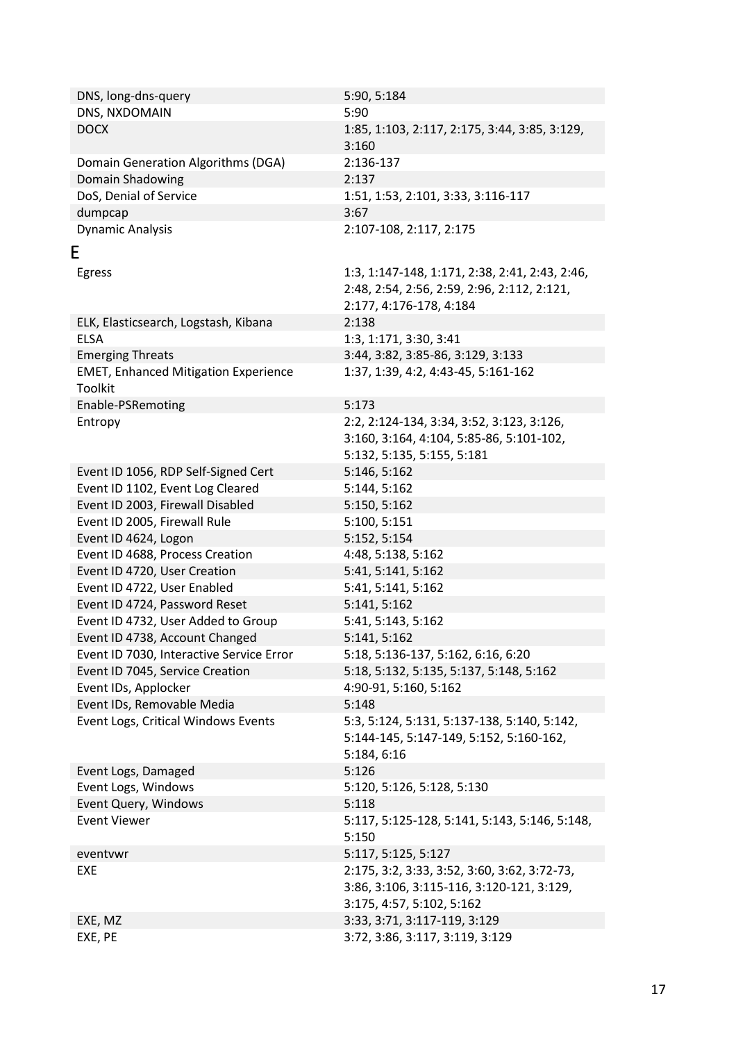<span id="page-16-0"></span>

| DNS, long-dns-query<br>DNS, NXDOMAIN        | 5:90, 5:184<br>5:90                                    |
|---------------------------------------------|--------------------------------------------------------|
|                                             |                                                        |
| <b>DOCX</b>                                 | 1:85, 1:103, 2:117, 2:175, 3:44, 3:85, 3:129,<br>3:160 |
| Domain Generation Algorithms (DGA)          | 2:136-137                                              |
| Domain Shadowing                            | 2:137                                                  |
| DoS, Denial of Service                      | 1:51, 1:53, 2:101, 3:33, 3:116-117                     |
| dumpcap                                     | 3:67                                                   |
| <b>Dynamic Analysis</b>                     | 2:107-108, 2:117, 2:175                                |
| E                                           |                                                        |
| Egress                                      | 1:3, 1:147-148, 1:171, 2:38, 2:41, 2:43, 2:46,         |
|                                             | 2:48, 2:54, 2:56, 2:59, 2:96, 2:112, 2:121,            |
|                                             | 2:177, 4:176-178, 4:184                                |
| ELK, Elasticsearch, Logstash, Kibana        | 2:138                                                  |
| <b>ELSA</b>                                 | 1:3, 1:171, 3:30, 3:41                                 |
| <b>Emerging Threats</b>                     | 3:44, 3:82, 3:85-86, 3:129, 3:133                      |
| <b>EMET, Enhanced Mitigation Experience</b> | 1:37, 1:39, 4:2, 4:43-45, 5:161-162                    |
| Toolkit                                     |                                                        |
| Enable-PSRemoting                           | 5:173                                                  |
| Entropy                                     | 2:2, 2:124-134, 3:34, 3:52, 3:123, 3:126,              |
|                                             | 3:160, 3:164, 4:104, 5:85-86, 5:101-102,               |
|                                             | 5:132, 5:135, 5:155, 5:181                             |
| Event ID 1056, RDP Self-Signed Cert         | 5:146, 5:162                                           |
| Event ID 1102, Event Log Cleared            | 5:144, 5:162                                           |
|                                             |                                                        |
| Event ID 2003, Firewall Disabled            | 5:150, 5:162                                           |
| Event ID 2005, Firewall Rule                | 5:100, 5:151                                           |
| Event ID 4624, Logon                        | 5:152, 5:154                                           |
| Event ID 4688, Process Creation             | 4:48, 5:138, 5:162                                     |
| Event ID 4720, User Creation                | 5:41, 5:141, 5:162                                     |
| Event ID 4722, User Enabled                 | 5:41, 5:141, 5:162                                     |
| Event ID 4724, Password Reset               | 5:141, 5:162                                           |
| Event ID 4732, User Added to Group          | 5:41, 5:143, 5:162                                     |
| Event ID 4738, Account Changed              | 5:141, 5:162                                           |
| Event ID 7030, Interactive Service Error    | 5:18, 5:136-137, 5:162, 6:16, 6:20                     |
| Event ID 7045, Service Creation             | 5:18, 5:132, 5:135, 5:137, 5:148, 5:162                |
| Event IDs, Applocker                        | 4:90-91, 5:160, 5:162                                  |
| Event IDs, Removable Media                  | 5:148                                                  |
| Event Logs, Critical Windows Events         | 5:3, 5:124, 5:131, 5:137-138, 5:140, 5:142,            |
|                                             | 5:144-145, 5:147-149, 5:152, 5:160-162,                |
|                                             | 5:184, 6:16                                            |
| Event Logs, Damaged                         | 5:126                                                  |
| Event Logs, Windows                         | 5:120, 5:126, 5:128, 5:130                             |
| Event Query, Windows                        | 5:118                                                  |
| <b>Event Viewer</b>                         | 5:117, 5:125-128, 5:141, 5:143, 5:146, 5:148,<br>5:150 |
| eventvwr                                    | 5:117, 5:125, 5:127                                    |
| EXE                                         | 2:175, 3:2, 3:33, 3:52, 3:60, 3:62, 3:72-73,           |
|                                             | 3:86, 3:106, 3:115-116, 3:120-121, 3:129,              |
|                                             | 3:175, 4:57, 5:102, 5:162                              |
| EXE, MZ                                     | 3:33, 3:71, 3:117-119, 3:129                           |
| EXE, PE                                     | 3:72, 3:86, 3:117, 3:119, 3:129                        |
|                                             |                                                        |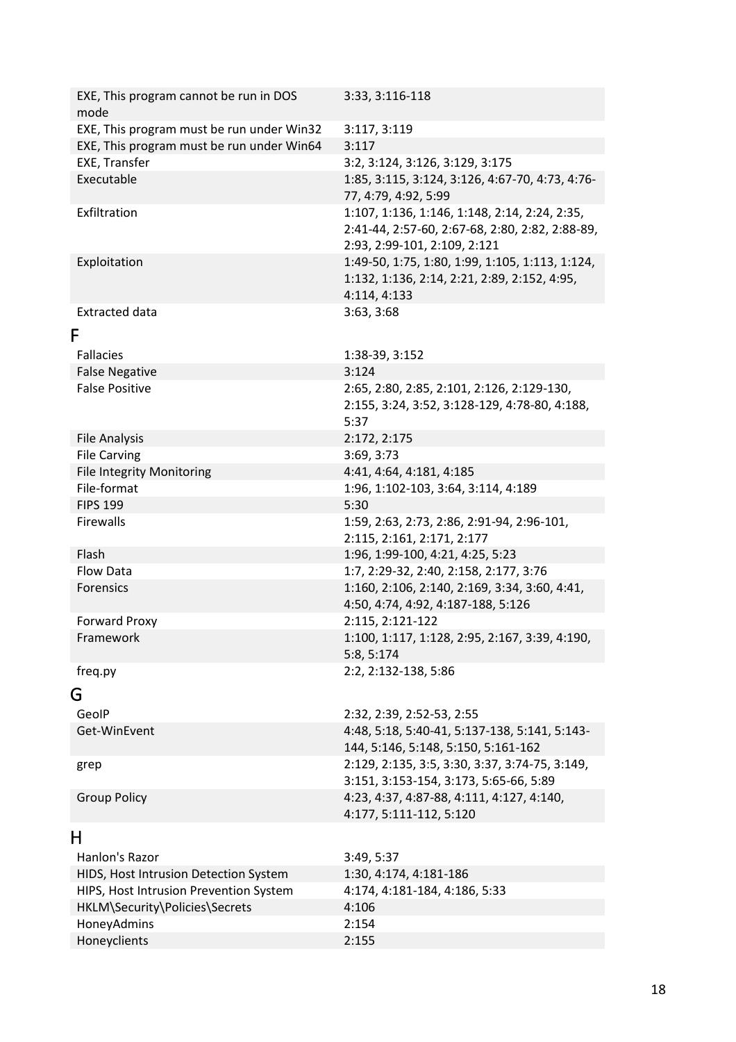<span id="page-17-2"></span><span id="page-17-1"></span><span id="page-17-0"></span>

| EXE, This program cannot be run in DOS<br>mode | 3:33, 3:116-118                                                                                                                  |
|------------------------------------------------|----------------------------------------------------------------------------------------------------------------------------------|
| EXE, This program must be run under Win32      | 3:117, 3:119                                                                                                                     |
| EXE, This program must be run under Win64      | 3:117                                                                                                                            |
| EXE, Transfer                                  | 3:2, 3:124, 3:126, 3:129, 3:175                                                                                                  |
| Executable                                     | 1:85, 3:115, 3:124, 3:126, 4:67-70, 4:73, 4:76-<br>77, 4:79, 4:92, 5:99                                                          |
| Exfiltration                                   | 1:107, 1:136, 1:146, 1:148, 2:14, 2:24, 2:35,<br>2:41-44, 2:57-60, 2:67-68, 2:80, 2:82, 2:88-89,<br>2:93, 2:99-101, 2:109, 2:121 |
| Exploitation                                   | 1:49-50, 1:75, 1:80, 1:99, 1:105, 1:113, 1:124,<br>1:132, 1:136, 2:14, 2:21, 2:89, 2:152, 4:95,<br>4:114, 4:133                  |
| <b>Extracted data</b>                          | 3:63, 3:68                                                                                                                       |
| F                                              |                                                                                                                                  |
| Fallacies                                      | 1:38-39, 3:152                                                                                                                   |
| <b>False Negative</b>                          | 3:124                                                                                                                            |
| <b>False Positive</b>                          | 2:65, 2:80, 2:85, 2:101, 2:126, 2:129-130,<br>2:155, 3:24, 3:52, 3:128-129, 4:78-80, 4:188,<br>5:37                              |
| <b>File Analysis</b>                           | 2:172, 2:175                                                                                                                     |
| <b>File Carving</b>                            | 3:69, 3:73                                                                                                                       |
| <b>File Integrity Monitoring</b>               | 4:41, 4:64, 4:181, 4:185                                                                                                         |
| File-format                                    | 1:96, 1:102-103, 3:64, 3:114, 4:189                                                                                              |
| <b>FIPS 199</b>                                | 5:30                                                                                                                             |
| Firewalls                                      | 1:59, 2:63, 2:73, 2:86, 2:91-94, 2:96-101,<br>2:115, 2:161, 2:171, 2:177                                                         |
| Flash                                          | 1:96, 1:99-100, 4:21, 4:25, 5:23                                                                                                 |
| <b>Flow Data</b>                               | 1:7, 2:29-32, 2:40, 2:158, 2:177, 3:76                                                                                           |
| Forensics                                      | 1:160, 2:106, 2:140, 2:169, 3:34, 3:60, 4:41,<br>4:50, 4:74, 4:92, 4:187-188, 5:126                                              |
| Forward Proxy                                  | 2:115, 2:121-122                                                                                                                 |
| Framework                                      | 1:100, 1:117, 1:128, 2:95, 2:167, 3:39, 4:190,<br>5:8, 5:174                                                                     |
| freq.py                                        | 2:2, 2:132-138, 5:86                                                                                                             |
| G                                              |                                                                                                                                  |
| GeoIP                                          | 2:32, 2:39, 2:52-53, 2:55                                                                                                        |
| Get-WinEvent                                   | 4:48, 5:18, 5:40-41, 5:137-138, 5:141, 5:143-                                                                                    |
|                                                | 144, 5:146, 5:148, 5:150, 5:161-162                                                                                              |
|                                                | 2:129, 2:135, 3:5, 3:30, 3:37, 3:74-75, 3:149,                                                                                   |
| grep                                           | 3:151, 3:153-154, 3:173, 5:65-66, 5:89                                                                                           |
| <b>Group Policy</b>                            | 4:23, 4:37, 4:87-88, 4:111, 4:127, 4:140,                                                                                        |
|                                                | 4:177, 5:111-112, 5:120                                                                                                          |
| н                                              |                                                                                                                                  |
| Hanlon's Razor                                 | 3:49, 5:37                                                                                                                       |
| HIDS, Host Intrusion Detection System          | 1:30, 4:174, 4:181-186                                                                                                           |
| HIPS, Host Intrusion Prevention System         | 4:174, 4:181-184, 4:186, 5:33                                                                                                    |
| HKLM\Security\Policies\Secrets                 | 4:106                                                                                                                            |
| HoneyAdmins                                    | 2:154                                                                                                                            |
| Honeyclients                                   | 2:155                                                                                                                            |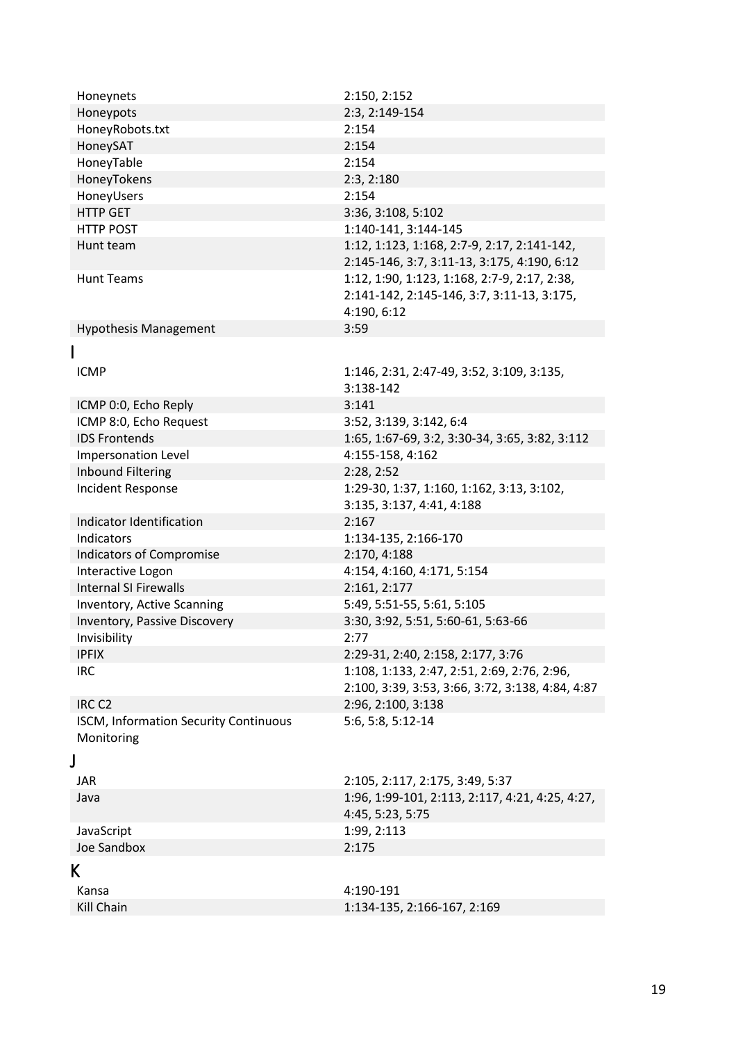<span id="page-18-2"></span><span id="page-18-1"></span><span id="page-18-0"></span>

| Honeynets                             | 2:150, 2:152                                     |
|---------------------------------------|--------------------------------------------------|
| Honeypots                             | 2:3, 2:149-154                                   |
| HoneyRobots.txt                       | 2:154                                            |
| HoneySAT                              | 2:154                                            |
| HoneyTable                            | 2:154                                            |
| HoneyTokens                           | 2:3, 2:180                                       |
| HoneyUsers                            | 2:154                                            |
| <b>HTTP GET</b>                       | 3:36, 3:108, 5:102                               |
| <b>HTTP POST</b>                      | 1:140-141, 3:144-145                             |
| Hunt team                             | 1:12, 1:123, 1:168, 2:7-9, 2:17, 2:141-142,      |
|                                       | 2:145-146, 3:7, 3:11-13, 3:175, 4:190, 6:12      |
| <b>Hunt Teams</b>                     | 1:12, 1:90, 1:123, 1:168, 2:7-9, 2:17, 2:38,     |
|                                       | 2:141-142, 2:145-146, 3:7, 3:11-13, 3:175,       |
|                                       | 4:190, 6:12                                      |
| <b>Hypothesis Management</b>          | 3:59                                             |
|                                       |                                                  |
|                                       |                                                  |
| <b>ICMP</b>                           | 1:146, 2:31, 2:47-49, 3:52, 3:109, 3:135,        |
|                                       | 3:138-142                                        |
| ICMP 0:0, Echo Reply                  | 3:141                                            |
| ICMP 8:0, Echo Request                | 3:52, 3:139, 3:142, 6:4                          |
| <b>IDS Frontends</b>                  | 1:65, 1:67-69, 3:2, 3:30-34, 3:65, 3:82, 3:112   |
| Impersonation Level                   | 4:155-158, 4:162                                 |
| <b>Inbound Filtering</b>              | 2:28, 2:52                                       |
| Incident Response                     | 1:29-30, 1:37, 1:160, 1:162, 3:13, 3:102,        |
|                                       | 3:135, 3:137, 4:41, 4:188                        |
| Indicator Identification              | 2:167                                            |
| Indicators                            | 1:134-135, 2:166-170                             |
| <b>Indicators of Compromise</b>       | 2:170, 4:188                                     |
| Interactive Logon                     | 4:154, 4:160, 4:171, 5:154                       |
| <b>Internal SI Firewalls</b>          | 2:161, 2:177                                     |
| Inventory, Active Scanning            | 5:49, 5:51-55, 5:61, 5:105                       |
| Inventory, Passive Discovery          | 3:30, 3:92, 5:51, 5:60-61, 5:63-66               |
| Invisibility                          | 2:77                                             |
| <b>IPFIX</b>                          | 2:29-31, 2:40, 2:158, 2:177, 3:76                |
| <b>IRC</b>                            | 1:108, 1:133, 2:47, 2:51, 2:69, 2:76, 2:96,      |
|                                       | 2:100, 3:39, 3:53, 3:66, 3:72, 3:138, 4:84, 4:87 |
| IRC <sub>C2</sub>                     | 2:96, 2:100, 3:138                               |
| ISCM, Information Security Continuous | 5:6, 5:8, 5:12-14                                |
| Monitoring                            |                                                  |
| J                                     |                                                  |
| <b>JAR</b>                            | 2:105, 2:117, 2:175, 3:49, 5:37                  |
| Java                                  | 1:96, 1:99-101, 2:113, 2:117, 4:21, 4:25, 4:27,  |
|                                       | 4:45, 5:23, 5:75                                 |
| JavaScript                            | 1:99, 2:113                                      |
| Joe Sandbox                           | 2:175                                            |
| K                                     |                                                  |
|                                       |                                                  |
| Kansa                                 | 4:190-191                                        |
| Kill Chain                            | 1:134-135, 2:166-167, 2:169                      |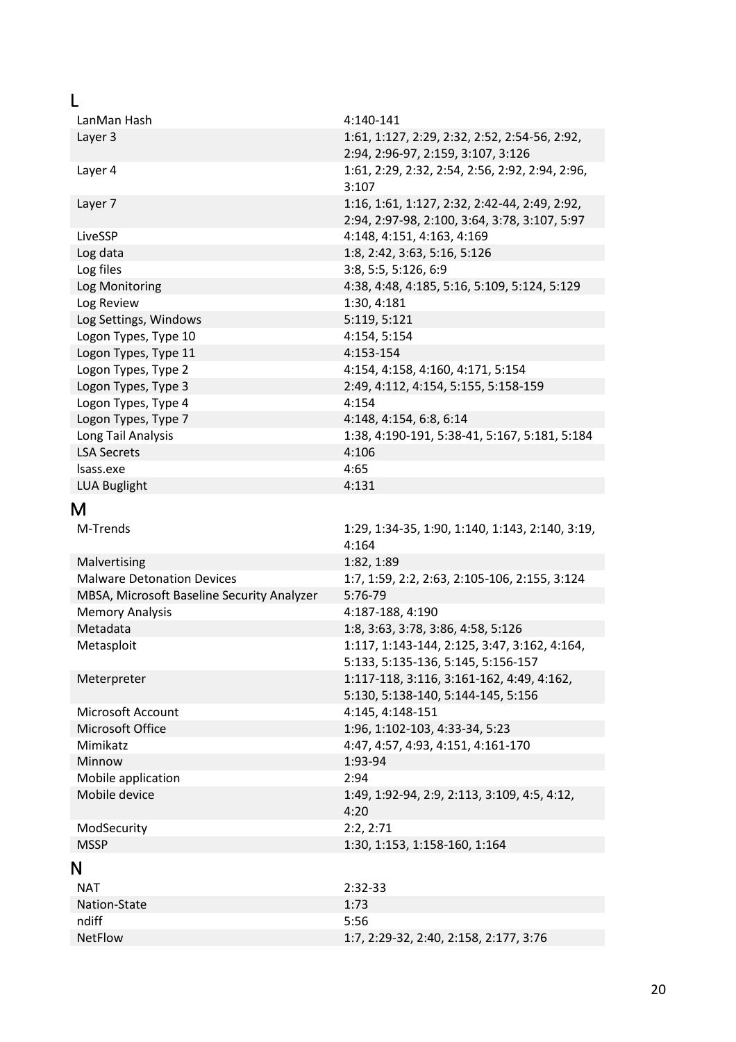<span id="page-19-2"></span><span id="page-19-1"></span><span id="page-19-0"></span>

| LanMan Hash                                | 4:140-141                                                                                      |
|--------------------------------------------|------------------------------------------------------------------------------------------------|
| Layer 3                                    | 1:61, 1:127, 2:29, 2:32, 2:52, 2:54-56, 2:92,<br>2:94, 2:96-97, 2:159, 3:107, 3:126            |
| Layer 4                                    | 1:61, 2:29, 2:32, 2:54, 2:56, 2:92, 2:94, 2:96,<br>3:107                                       |
| Layer 7                                    | 1:16, 1:61, 1:127, 2:32, 2:42-44, 2:49, 2:92,<br>2:94, 2:97-98, 2:100, 3:64, 3:78, 3:107, 5:97 |
| LiveSSP                                    | 4:148, 4:151, 4:163, 4:169                                                                     |
| Log data                                   | 1:8, 2:42, 3:63, 5:16, 5:126                                                                   |
| Log files                                  | 3:8, 5:5, 5:126, 6:9                                                                           |
| Log Monitoring                             | 4:38, 4:48, 4:185, 5:16, 5:109, 5:124, 5:129                                                   |
| Log Review                                 | 1:30, 4:181                                                                                    |
| Log Settings, Windows                      | 5:119, 5:121                                                                                   |
| Logon Types, Type 10                       | 4:154, 5:154                                                                                   |
| Logon Types, Type 11                       | 4:153-154                                                                                      |
| Logon Types, Type 2                        | 4:154, 4:158, 4:160, 4:171, 5:154                                                              |
| Logon Types, Type 3                        | 2:49, 4:112, 4:154, 5:155, 5:158-159                                                           |
| Logon Types, Type 4                        | 4:154                                                                                          |
| Logon Types, Type 7                        | 4:148, 4:154, 6:8, 6:14                                                                        |
| Long Tail Analysis                         | 1:38, 4:190-191, 5:38-41, 5:167, 5:181, 5:184                                                  |
| <b>LSA Secrets</b>                         | 4:106                                                                                          |
| Isass.exe                                  | 4:65                                                                                           |
| <b>LUA Buglight</b>                        | 4:131                                                                                          |
| М                                          |                                                                                                |
| M-Trends                                   | 1:29, 1:34-35, 1:90, 1:140, 1:143, 2:140, 3:19,                                                |
|                                            | 4:164                                                                                          |
| Malvertising                               | 1:82, 1:89                                                                                     |
| <b>Malware Detonation Devices</b>          | 1:7, 1:59, 2:2, 2:63, 2:105-106, 2:155, 3:124                                                  |
| MBSA, Microsoft Baseline Security Analyzer | 5:76-79                                                                                        |
| <b>Memory Analysis</b>                     | 4:187-188, 4:190                                                                               |
| Metadata                                   | 1:8, 3:63, 3:78, 3:86, 4:58, 5:126                                                             |
| Metasploit                                 | 1:117, 1:143-144, 2:125, 3:47, 3:162, 4:164,<br>5:133, 5:135-136, 5:145, 5:156-157             |
| Meterpreter                                | 1:117-118, 3:116, 3:161-162, 4:49, 4:162,<br>5:130, 5:138-140, 5:144-145, 5:156                |
| Microsoft Account                          | 4:145, 4:148-151                                                                               |
| Microsoft Office                           | 1:96, 1:102-103, 4:33-34, 5:23                                                                 |
| Mimikatz                                   | 4:47, 4:57, 4:93, 4:151, 4:161-170                                                             |
| Minnow                                     | 1:93-94                                                                                        |
| Mobile application                         | 2:94                                                                                           |
| Mobile device                              | 1:49, 1:92-94, 2:9, 2:113, 3:109, 4:5, 4:12,<br>4:20                                           |
| ModSecurity                                | 2:2,2:71                                                                                       |
| <b>MSSP</b>                                | 1:30, 1:153, 1:158-160, 1:164                                                                  |
| N                                          |                                                                                                |
| <b>NAT</b>                                 | 2:32-33                                                                                        |
| Nation-State                               | 1:73                                                                                           |
| ndiff                                      | 5:56                                                                                           |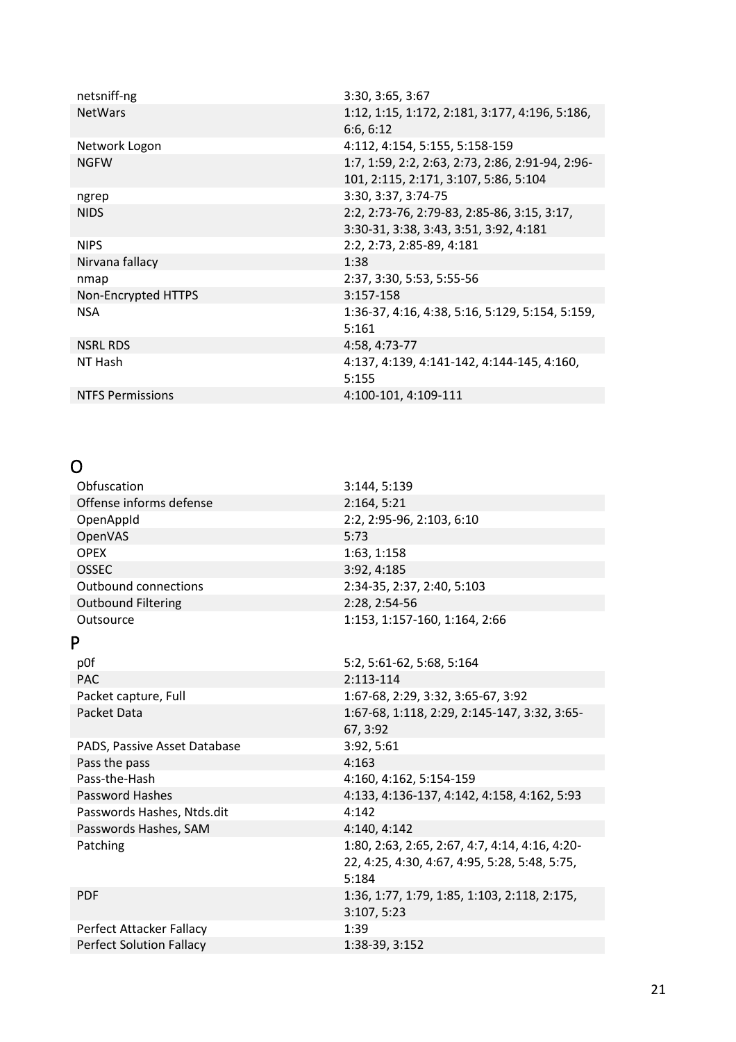| netsniff-ng             | 3:30, 3:65, 3:67                                 |
|-------------------------|--------------------------------------------------|
| <b>NetWars</b>          | 1:12, 1:15, 1:172, 2:181, 3:177, 4:196, 5:186,   |
|                         | 6:6, 6:12                                        |
| Network Logon           | 4:112, 4:154, 5:155, 5:158-159                   |
| <b>NGFW</b>             | 1:7, 1:59, 2:2, 2:63, 2:73, 2:86, 2:91-94, 2:96- |
|                         | 101, 2:115, 2:171, 3:107, 5:86, 5:104            |
| ngrep                   | 3:30, 3:37, 3:74-75                              |
| <b>NIDS</b>             | 2:2, 2:73-76, 2:79-83, 2:85-86, 3:15, 3:17,      |
|                         | 3:30-31, 3:38, 3:43, 3:51, 3:92, 4:181           |
| <b>NIPS</b>             | 2:2, 2:73, 2:85-89, 4:181                        |
| Nirvana fallacy         | 1:38                                             |
| nmap                    | 2:37, 3:30, 5:53, 5:55-56                        |
| Non-Encrypted HTTPS     | 3:157-158                                        |
| <b>NSA</b>              | 1:36-37, 4:16, 4:38, 5:16, 5:129, 5:154, 5:159,  |
|                         | 5:161                                            |
| <b>NSRL RDS</b>         | 4:58, 4:73-77                                    |
| NT Hash                 | 4:137, 4:139, 4:141-142, 4:144-145, 4:160,       |
|                         | 5:155                                            |
| <b>NTFS Permissions</b> | 4:100-101, 4:109-111                             |

## <span id="page-20-0"></span>O

<span id="page-20-1"></span>

| Obfuscation                     | 3:144, 5:139                                   |
|---------------------------------|------------------------------------------------|
| Offense informs defense         | 2:164, 5:21                                    |
| OpenAppId                       | 2:2, 2:95-96, 2:103, 6:10                      |
| OpenVAS                         | 5:73                                           |
| <b>OPEX</b>                     | 1:63, 1:158                                    |
| <b>OSSEC</b>                    | 3:92, 4:185                                    |
| <b>Outbound connections</b>     | 2:34-35, 2:37, 2:40, 5:103                     |
| <b>Outbound Filtering</b>       | 2:28, 2:54-56                                  |
| Outsource                       | 1:153, 1:157-160, 1:164, 2:66                  |
| P                               |                                                |
| p0f                             | 5:2, 5:61-62, 5:68, 5:164                      |
| <b>PAC</b>                      | 2:113-114                                      |
| Packet capture, Full            | 1:67-68, 2:29, 3:32, 3:65-67, 3:92             |
| Packet Data                     | 1:67-68, 1:118, 2:29, 2:145-147, 3:32, 3:65-   |
|                                 | 67, 3:92                                       |
| PADS, Passive Asset Database    | 3:92, 5:61                                     |
| Pass the pass                   | 4:163                                          |
| Pass-the-Hash                   | 4:160, 4:162, 5:154-159                        |
| Password Hashes                 | 4:133, 4:136-137, 4:142, 4:158, 4:162, 5:93    |
| Passwords Hashes, Ntds.dit      | 4:142                                          |
| Passwords Hashes, SAM           | 4:140, 4:142                                   |
| Patching                        | 1:80, 2:63, 2:65, 2:67, 4:7, 4:14, 4:16, 4:20- |
|                                 | 22, 4:25, 4:30, 4:67, 4:95, 5:28, 5:48, 5:75,  |
|                                 | 5:184                                          |
| <b>PDF</b>                      | 1:36, 1:77, 1:79, 1:85, 1:103, 2:118, 2:175,   |
|                                 | 3:107, 5:23                                    |
| Perfect Attacker Fallacy        | 1:39                                           |
| <b>Perfect Solution Fallacy</b> | 1:38-39, 3:152                                 |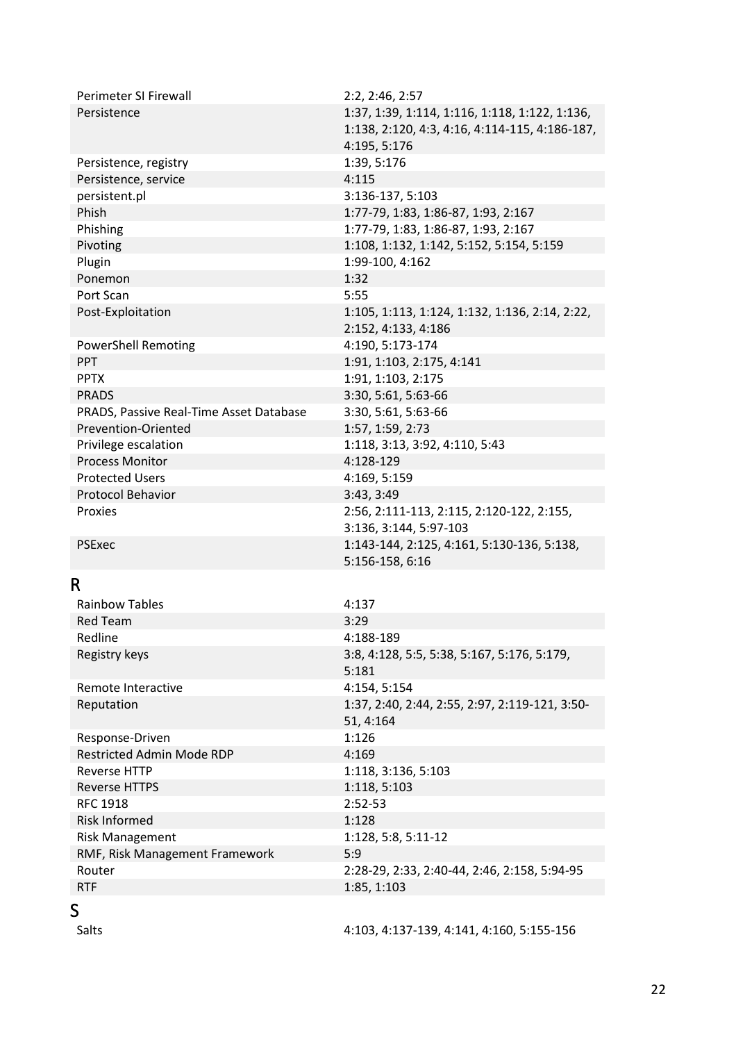| Perimeter SI Firewall<br>Persistence    | 2:2, 2:46, 2:57<br>1:37, 1:39, 1:114, 1:116, 1:118, 1:122, 1:136,<br>1:138, 2:120, 4:3, 4:16, 4:114-115, 4:186-187,<br>4:195, 5:176 |
|-----------------------------------------|-------------------------------------------------------------------------------------------------------------------------------------|
| Persistence, registry                   | 1:39, 5:176                                                                                                                         |
| Persistence, service                    | 4:115                                                                                                                               |
| persistent.pl                           | 3:136-137, 5:103                                                                                                                    |
| Phish                                   | 1:77-79, 1:83, 1:86-87, 1:93, 2:167                                                                                                 |
| Phishing                                | 1:77-79, 1:83, 1:86-87, 1:93, 2:167                                                                                                 |
| Pivoting                                | 1:108, 1:132, 1:142, 5:152, 5:154, 5:159                                                                                            |
| Plugin                                  | 1:99-100, 4:162                                                                                                                     |
| Ponemon                                 | 1:32                                                                                                                                |
| Port Scan                               | 5:55                                                                                                                                |
| Post-Exploitation                       | 1:105, 1:113, 1:124, 1:132, 1:136, 2:14, 2:22,                                                                                      |
|                                         | 2:152, 4:133, 4:186                                                                                                                 |
| <b>PowerShell Remoting</b>              | 4:190, 5:173-174                                                                                                                    |
| PPT                                     | 1:91, 1:103, 2:175, 4:141                                                                                                           |
| <b>PPTX</b>                             | 1:91, 1:103, 2:175                                                                                                                  |
| <b>PRADS</b>                            | 3:30, 5:61, 5:63-66                                                                                                                 |
| PRADS, Passive Real-Time Asset Database | 3:30, 5:61, 5:63-66                                                                                                                 |
| Prevention-Oriented                     | 1:57, 1:59, 2:73                                                                                                                    |
| Privilege escalation                    | 1:118, 3:13, 3:92, 4:110, 5:43                                                                                                      |
| <b>Process Monitor</b>                  | 4:128-129                                                                                                                           |
| <b>Protected Users</b>                  | 4:169, 5:159                                                                                                                        |
| Protocol Behavior                       | 3:43, 3:49                                                                                                                          |
| Proxies                                 | 2:56, 2:111-113, 2:115, 2:120-122, 2:155,<br>3:136, 3:144, 5:97-103                                                                 |
| <b>PSExec</b>                           | 1:143-144, 2:125, 4:161, 5:130-136, 5:138,<br>5:156-158, 6:16                                                                       |
| R                                       |                                                                                                                                     |
| <b>Rainbow Tables</b>                   | 4:137                                                                                                                               |
| <b>Red Team</b>                         | 3:29                                                                                                                                |
| Redline                                 | 4:188-189                                                                                                                           |
| Registry keys                           | 3:8, 4:128, 5:5, 5:38, 5:167, 5:176, 5:179,<br>5:181                                                                                |
| Remote Interactive                      | 4:154, 5:154                                                                                                                        |
| Reputation                              | 1:37, 2:40, 2:44, 2:55, 2:97, 2:119-121, 3:50-                                                                                      |
|                                         | 51, 4:164                                                                                                                           |
| Response-Driven                         | 1:126                                                                                                                               |
| <b>Restricted Admin Mode RDP</b>        | 4:169                                                                                                                               |
| <b>Reverse HTTP</b>                     | 1:118, 3:136, 5:103                                                                                                                 |
| <b>Reverse HTTPS</b>                    | 1:118, 5:103                                                                                                                        |
| <b>RFC 1918</b>                         | 2:52-53                                                                                                                             |
| <b>Risk Informed</b>                    | 1:128                                                                                                                               |
|                                         |                                                                                                                                     |
| <b>Risk Management</b>                  | 1:128, 5:8, 5:11-12                                                                                                                 |
| RMF, Risk Management Framework          | 5:9                                                                                                                                 |
| Router                                  | 2:28-29, 2:33, 2:40-44, 2:46, 2:158, 5:94-95                                                                                        |
| <b>RTF</b>                              | 1:85, 1:103                                                                                                                         |

<span id="page-21-1"></span><span id="page-21-0"></span>Salts 4:103, 4:137-139, 4:141, 4:160, 5:155-156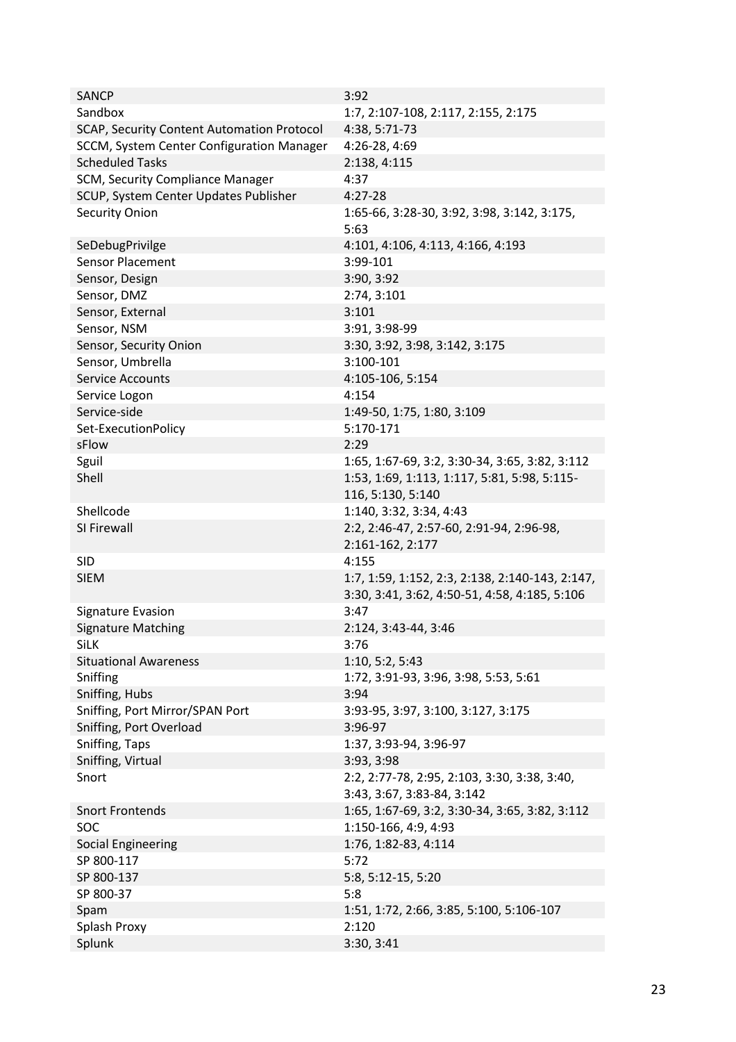| <b>SANCP</b>                               | 3:92                                                                                             |
|--------------------------------------------|--------------------------------------------------------------------------------------------------|
| Sandbox                                    | 1:7, 2:107-108, 2:117, 2:155, 2:175                                                              |
| SCAP, Security Content Automation Protocol | 4:38, 5:71-73                                                                                    |
| SCCM, System Center Configuration Manager  | 4:26-28, 4:69                                                                                    |
| <b>Scheduled Tasks</b>                     | 2:138, 4:115                                                                                     |
| SCM, Security Compliance Manager           | 4:37                                                                                             |
|                                            | $4:27-28$                                                                                        |
| SCUP, System Center Updates Publisher      |                                                                                                  |
| <b>Security Onion</b>                      | 1:65-66, 3:28-30, 3:92, 3:98, 3:142, 3:175,<br>5:63                                              |
| SeDebugPrivilge                            | 4:101, 4:106, 4:113, 4:166, 4:193                                                                |
| <b>Sensor Placement</b>                    | 3:99-101                                                                                         |
| Sensor, Design                             | 3:90, 3:92                                                                                       |
| Sensor, DMZ                                | 2:74, 3:101                                                                                      |
| Sensor, External                           | 3:101                                                                                            |
| Sensor, NSM                                | 3:91, 3:98-99                                                                                    |
| Sensor, Security Onion                     | 3:30, 3:92, 3:98, 3:142, 3:175                                                                   |
| Sensor, Umbrella                           | 3:100-101                                                                                        |
| <b>Service Accounts</b>                    | 4:105-106, 5:154                                                                                 |
| Service Logon                              | 4:154                                                                                            |
| Service-side                               | 1:49-50, 1:75, 1:80, 3:109                                                                       |
| Set-ExecutionPolicy                        | 5:170-171                                                                                        |
| sFlow                                      | 2:29                                                                                             |
| Sguil                                      | 1:65, 1:67-69, 3:2, 3:30-34, 3:65, 3:82, 3:112                                                   |
| Shell                                      | 1:53, 1:69, 1:113, 1:117, 5:81, 5:98, 5:115-                                                     |
|                                            |                                                                                                  |
|                                            | 116, 5:130, 5:140                                                                                |
| Shellcode                                  | 1:140, 3:32, 3:34, 4:43                                                                          |
| SI Firewall                                | 2:2, 2:46-47, 2:57-60, 2:91-94, 2:96-98,                                                         |
|                                            | 2:161-162, 2:177                                                                                 |
| <b>SID</b>                                 | 4:155                                                                                            |
| <b>SIEM</b>                                | 1:7, 1:59, 1:152, 2:3, 2:138, 2:140-143, 2:147,<br>3:30, 3:41, 3:62, 4:50-51, 4:58, 4:185, 5:106 |
| Signature Evasion                          | 3:47                                                                                             |
| <b>Signature Matching</b>                  | 2:124, 3:43-44, 3:46                                                                             |
| SiLK                                       | 3:76                                                                                             |
| <b>Situational Awareness</b>               | 1:10, 5:2, 5:43                                                                                  |
| Sniffing                                   | 1:72, 3:91-93, 3:96, 3:98, 5:53, 5:61                                                            |
| Sniffing, Hubs                             | 3:94                                                                                             |
| Sniffing, Port Mirror/SPAN Port            | 3:93-95, 3:97, 3:100, 3:127, 3:175                                                               |
| Sniffing, Port Overload                    | 3:96-97                                                                                          |
| Sniffing, Taps                             | 1:37, 3:93-94, 3:96-97                                                                           |
| Sniffing, Virtual                          | 3:93, 3:98                                                                                       |
| Snort                                      | 2:2, 2:77-78, 2:95, 2:103, 3:30, 3:38, 3:40,                                                     |
|                                            | 3:43, 3:67, 3:83-84, 3:142                                                                       |
| <b>Snort Frontends</b>                     | 1:65, 1:67-69, 3:2, 3:30-34, 3:65, 3:82, 3:112                                                   |
| SOC                                        | 1:150-166, 4:9, 4:93                                                                             |
| <b>Social Engineering</b>                  | 1:76, 1:82-83, 4:114                                                                             |
| SP 800-117                                 | 5:72                                                                                             |
| SP 800-137                                 | 5:8, 5:12-15, 5:20                                                                               |
| SP 800-37                                  | 5:8                                                                                              |
| Spam                                       | 1:51, 1:72, 2:66, 3:85, 5:100, 5:106-107                                                         |
| Splash Proxy                               | 2:120                                                                                            |
| Splunk                                     | 3:30, 3:41                                                                                       |
|                                            |                                                                                                  |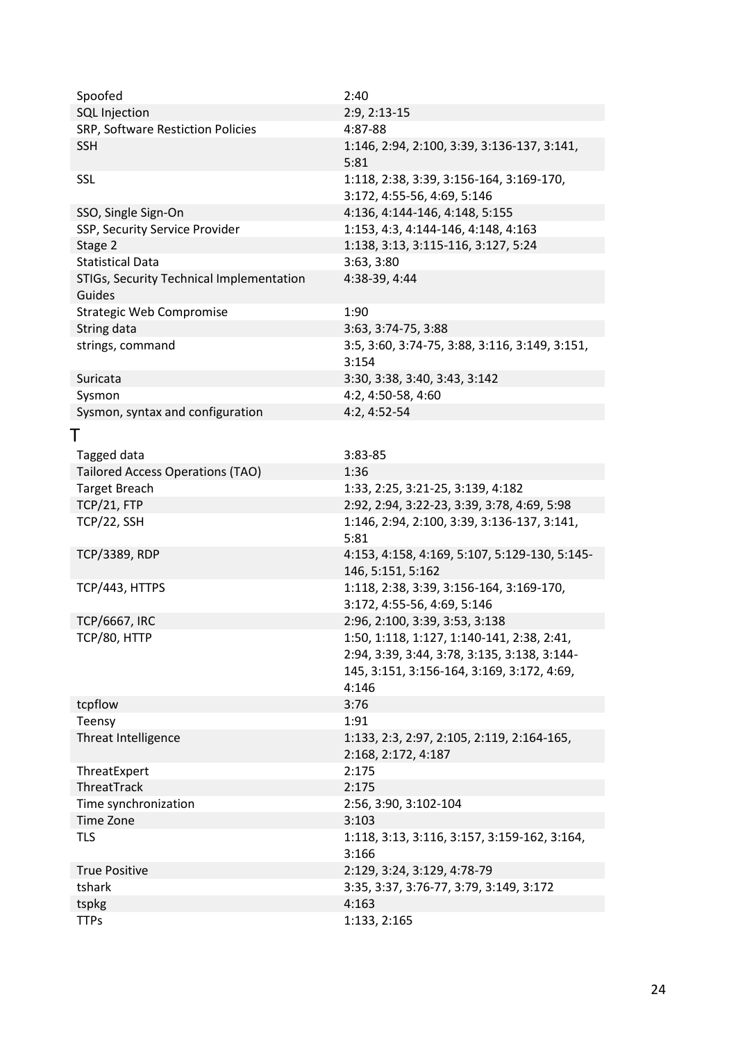<span id="page-23-0"></span>

| <b>SQL Injection</b><br>2:9, 2:13-15<br>SRP, Software Restiction Policies<br>4:87-88<br><b>SSH</b><br>1:146, 2:94, 2:100, 3:39, 3:136-137, 3:141,<br>5:81<br>1:118, 2:38, 3:39, 3:156-164, 3:169-170,<br><b>SSL</b><br>3:172, 4:55-56, 4:69, 5:146<br>SSO, Single Sign-On<br>4:136, 4:144-146, 4:148, 5:155<br>SSP, Security Service Provider<br>1:153, 4:3, 4:144-146, 4:148, 4:163<br>Stage 2<br>1:138, 3:13, 3:115-116, 3:127, 5:24<br><b>Statistical Data</b><br>3:63, 3:80<br>STIGs, Security Technical Implementation<br>4:38-39, 4:44<br>Guides<br><b>Strategic Web Compromise</b><br>1:90<br>String data<br>3:63, 3:74-75, 3:88<br>3:5, 3:60, 3:74-75, 3:88, 3:116, 3:149, 3:151,<br>strings, command<br>3:154<br>3:30, 3:38, 3:40, 3:43, 3:142<br>Suricata<br>4:2, 4:50-58, 4:60<br>Sysmon<br>Sysmon, syntax and configuration<br>4:2, 4:52-54<br>Tagged data<br>3:83-85<br><b>Tailored Access Operations (TAO)</b><br>1:36<br><b>Target Breach</b><br>1:33, 2:25, 3:21-25, 3:139, 4:182<br>TCP/21, FTP<br>2:92, 2:94, 3:22-23, 3:39, 3:78, 4:69, 5:98<br>TCP/22, SSH<br>1:146, 2:94, 2:100, 3:39, 3:136-137, 3:141,<br>5:81<br><b>TCP/3389, RDP</b><br>4:153, 4:158, 4:169, 5:107, 5:129-130, 5:145-<br>146, 5:151, 5:162<br>TCP/443, HTTPS<br>1:118, 2:38, 3:39, 3:156-164, 3:169-170,<br>3:172, 4:55-56, 4:69, 5:146<br>2:96, 2:100, 3:39, 3:53, 3:138<br><b>TCP/6667, IRC</b><br>1:50, 1:118, 1:127, 1:140-141, 2:38, 2:41,<br>TCP/80, HTTP<br>2:94, 3:39, 3:44, 3:78, 3:135, 3:138, 3:144-<br>145, 3:151, 3:156-164, 3:169, 3:172, 4:69,<br>4:146<br>tcpflow<br>3:76<br>1:91<br>Teensy<br>Threat Intelligence<br>1:133, 2:3, 2:97, 2:105, 2:119, 2:164-165,<br>2:168, 2:172, 4:187<br>2:175<br>ThreatExpert<br>ThreatTrack<br>2:175<br>Time synchronization<br>2:56, 3:90, 3:102-104<br>Time Zone<br>3:103<br><b>TLS</b><br>1:118, 3:13, 3:116, 3:157, 3:159-162, 3:164, | Spoofed              | 2:40                                    |
|----------------------------------------------------------------------------------------------------------------------------------------------------------------------------------------------------------------------------------------------------------------------------------------------------------------------------------------------------------------------------------------------------------------------------------------------------------------------------------------------------------------------------------------------------------------------------------------------------------------------------------------------------------------------------------------------------------------------------------------------------------------------------------------------------------------------------------------------------------------------------------------------------------------------------------------------------------------------------------------------------------------------------------------------------------------------------------------------------------------------------------------------------------------------------------------------------------------------------------------------------------------------------------------------------------------------------------------------------------------------------------------------------------------------------------------------------------------------------------------------------------------------------------------------------------------------------------------------------------------------------------------------------------------------------------------------------------------------------------------------------------------------------------------------------------------------------------------------------------------------------------------|----------------------|-----------------------------------------|
|                                                                                                                                                                                                                                                                                                                                                                                                                                                                                                                                                                                                                                                                                                                                                                                                                                                                                                                                                                                                                                                                                                                                                                                                                                                                                                                                                                                                                                                                                                                                                                                                                                                                                                                                                                                                                                                                                        |                      |                                         |
|                                                                                                                                                                                                                                                                                                                                                                                                                                                                                                                                                                                                                                                                                                                                                                                                                                                                                                                                                                                                                                                                                                                                                                                                                                                                                                                                                                                                                                                                                                                                                                                                                                                                                                                                                                                                                                                                                        |                      |                                         |
|                                                                                                                                                                                                                                                                                                                                                                                                                                                                                                                                                                                                                                                                                                                                                                                                                                                                                                                                                                                                                                                                                                                                                                                                                                                                                                                                                                                                                                                                                                                                                                                                                                                                                                                                                                                                                                                                                        |                      |                                         |
|                                                                                                                                                                                                                                                                                                                                                                                                                                                                                                                                                                                                                                                                                                                                                                                                                                                                                                                                                                                                                                                                                                                                                                                                                                                                                                                                                                                                                                                                                                                                                                                                                                                                                                                                                                                                                                                                                        |                      |                                         |
|                                                                                                                                                                                                                                                                                                                                                                                                                                                                                                                                                                                                                                                                                                                                                                                                                                                                                                                                                                                                                                                                                                                                                                                                                                                                                                                                                                                                                                                                                                                                                                                                                                                                                                                                                                                                                                                                                        |                      |                                         |
|                                                                                                                                                                                                                                                                                                                                                                                                                                                                                                                                                                                                                                                                                                                                                                                                                                                                                                                                                                                                                                                                                                                                                                                                                                                                                                                                                                                                                                                                                                                                                                                                                                                                                                                                                                                                                                                                                        |                      |                                         |
|                                                                                                                                                                                                                                                                                                                                                                                                                                                                                                                                                                                                                                                                                                                                                                                                                                                                                                                                                                                                                                                                                                                                                                                                                                                                                                                                                                                                                                                                                                                                                                                                                                                                                                                                                                                                                                                                                        |                      |                                         |
|                                                                                                                                                                                                                                                                                                                                                                                                                                                                                                                                                                                                                                                                                                                                                                                                                                                                                                                                                                                                                                                                                                                                                                                                                                                                                                                                                                                                                                                                                                                                                                                                                                                                                                                                                                                                                                                                                        |                      |                                         |
|                                                                                                                                                                                                                                                                                                                                                                                                                                                                                                                                                                                                                                                                                                                                                                                                                                                                                                                                                                                                                                                                                                                                                                                                                                                                                                                                                                                                                                                                                                                                                                                                                                                                                                                                                                                                                                                                                        |                      |                                         |
|                                                                                                                                                                                                                                                                                                                                                                                                                                                                                                                                                                                                                                                                                                                                                                                                                                                                                                                                                                                                                                                                                                                                                                                                                                                                                                                                                                                                                                                                                                                                                                                                                                                                                                                                                                                                                                                                                        |                      |                                         |
|                                                                                                                                                                                                                                                                                                                                                                                                                                                                                                                                                                                                                                                                                                                                                                                                                                                                                                                                                                                                                                                                                                                                                                                                                                                                                                                                                                                                                                                                                                                                                                                                                                                                                                                                                                                                                                                                                        |                      |                                         |
|                                                                                                                                                                                                                                                                                                                                                                                                                                                                                                                                                                                                                                                                                                                                                                                                                                                                                                                                                                                                                                                                                                                                                                                                                                                                                                                                                                                                                                                                                                                                                                                                                                                                                                                                                                                                                                                                                        |                      |                                         |
|                                                                                                                                                                                                                                                                                                                                                                                                                                                                                                                                                                                                                                                                                                                                                                                                                                                                                                                                                                                                                                                                                                                                                                                                                                                                                                                                                                                                                                                                                                                                                                                                                                                                                                                                                                                                                                                                                        |                      |                                         |
|                                                                                                                                                                                                                                                                                                                                                                                                                                                                                                                                                                                                                                                                                                                                                                                                                                                                                                                                                                                                                                                                                                                                                                                                                                                                                                                                                                                                                                                                                                                                                                                                                                                                                                                                                                                                                                                                                        |                      |                                         |
|                                                                                                                                                                                                                                                                                                                                                                                                                                                                                                                                                                                                                                                                                                                                                                                                                                                                                                                                                                                                                                                                                                                                                                                                                                                                                                                                                                                                                                                                                                                                                                                                                                                                                                                                                                                                                                                                                        |                      |                                         |
|                                                                                                                                                                                                                                                                                                                                                                                                                                                                                                                                                                                                                                                                                                                                                                                                                                                                                                                                                                                                                                                                                                                                                                                                                                                                                                                                                                                                                                                                                                                                                                                                                                                                                                                                                                                                                                                                                        |                      |                                         |
|                                                                                                                                                                                                                                                                                                                                                                                                                                                                                                                                                                                                                                                                                                                                                                                                                                                                                                                                                                                                                                                                                                                                                                                                                                                                                                                                                                                                                                                                                                                                                                                                                                                                                                                                                                                                                                                                                        |                      |                                         |
|                                                                                                                                                                                                                                                                                                                                                                                                                                                                                                                                                                                                                                                                                                                                                                                                                                                                                                                                                                                                                                                                                                                                                                                                                                                                                                                                                                                                                                                                                                                                                                                                                                                                                                                                                                                                                                                                                        |                      |                                         |
|                                                                                                                                                                                                                                                                                                                                                                                                                                                                                                                                                                                                                                                                                                                                                                                                                                                                                                                                                                                                                                                                                                                                                                                                                                                                                                                                                                                                                                                                                                                                                                                                                                                                                                                                                                                                                                                                                        |                      |                                         |
|                                                                                                                                                                                                                                                                                                                                                                                                                                                                                                                                                                                                                                                                                                                                                                                                                                                                                                                                                                                                                                                                                                                                                                                                                                                                                                                                                                                                                                                                                                                                                                                                                                                                                                                                                                                                                                                                                        |                      |                                         |
|                                                                                                                                                                                                                                                                                                                                                                                                                                                                                                                                                                                                                                                                                                                                                                                                                                                                                                                                                                                                                                                                                                                                                                                                                                                                                                                                                                                                                                                                                                                                                                                                                                                                                                                                                                                                                                                                                        |                      |                                         |
|                                                                                                                                                                                                                                                                                                                                                                                                                                                                                                                                                                                                                                                                                                                                                                                                                                                                                                                                                                                                                                                                                                                                                                                                                                                                                                                                                                                                                                                                                                                                                                                                                                                                                                                                                                                                                                                                                        |                      |                                         |
|                                                                                                                                                                                                                                                                                                                                                                                                                                                                                                                                                                                                                                                                                                                                                                                                                                                                                                                                                                                                                                                                                                                                                                                                                                                                                                                                                                                                                                                                                                                                                                                                                                                                                                                                                                                                                                                                                        |                      |                                         |
|                                                                                                                                                                                                                                                                                                                                                                                                                                                                                                                                                                                                                                                                                                                                                                                                                                                                                                                                                                                                                                                                                                                                                                                                                                                                                                                                                                                                                                                                                                                                                                                                                                                                                                                                                                                                                                                                                        |                      |                                         |
|                                                                                                                                                                                                                                                                                                                                                                                                                                                                                                                                                                                                                                                                                                                                                                                                                                                                                                                                                                                                                                                                                                                                                                                                                                                                                                                                                                                                                                                                                                                                                                                                                                                                                                                                                                                                                                                                                        |                      |                                         |
|                                                                                                                                                                                                                                                                                                                                                                                                                                                                                                                                                                                                                                                                                                                                                                                                                                                                                                                                                                                                                                                                                                                                                                                                                                                                                                                                                                                                                                                                                                                                                                                                                                                                                                                                                                                                                                                                                        |                      |                                         |
|                                                                                                                                                                                                                                                                                                                                                                                                                                                                                                                                                                                                                                                                                                                                                                                                                                                                                                                                                                                                                                                                                                                                                                                                                                                                                                                                                                                                                                                                                                                                                                                                                                                                                                                                                                                                                                                                                        |                      |                                         |
|                                                                                                                                                                                                                                                                                                                                                                                                                                                                                                                                                                                                                                                                                                                                                                                                                                                                                                                                                                                                                                                                                                                                                                                                                                                                                                                                                                                                                                                                                                                                                                                                                                                                                                                                                                                                                                                                                        |                      |                                         |
|                                                                                                                                                                                                                                                                                                                                                                                                                                                                                                                                                                                                                                                                                                                                                                                                                                                                                                                                                                                                                                                                                                                                                                                                                                                                                                                                                                                                                                                                                                                                                                                                                                                                                                                                                                                                                                                                                        |                      |                                         |
|                                                                                                                                                                                                                                                                                                                                                                                                                                                                                                                                                                                                                                                                                                                                                                                                                                                                                                                                                                                                                                                                                                                                                                                                                                                                                                                                                                                                                                                                                                                                                                                                                                                                                                                                                                                                                                                                                        |                      |                                         |
|                                                                                                                                                                                                                                                                                                                                                                                                                                                                                                                                                                                                                                                                                                                                                                                                                                                                                                                                                                                                                                                                                                                                                                                                                                                                                                                                                                                                                                                                                                                                                                                                                                                                                                                                                                                                                                                                                        |                      |                                         |
|                                                                                                                                                                                                                                                                                                                                                                                                                                                                                                                                                                                                                                                                                                                                                                                                                                                                                                                                                                                                                                                                                                                                                                                                                                                                                                                                                                                                                                                                                                                                                                                                                                                                                                                                                                                                                                                                                        |                      |                                         |
|                                                                                                                                                                                                                                                                                                                                                                                                                                                                                                                                                                                                                                                                                                                                                                                                                                                                                                                                                                                                                                                                                                                                                                                                                                                                                                                                                                                                                                                                                                                                                                                                                                                                                                                                                                                                                                                                                        |                      |                                         |
|                                                                                                                                                                                                                                                                                                                                                                                                                                                                                                                                                                                                                                                                                                                                                                                                                                                                                                                                                                                                                                                                                                                                                                                                                                                                                                                                                                                                                                                                                                                                                                                                                                                                                                                                                                                                                                                                                        |                      |                                         |
|                                                                                                                                                                                                                                                                                                                                                                                                                                                                                                                                                                                                                                                                                                                                                                                                                                                                                                                                                                                                                                                                                                                                                                                                                                                                                                                                                                                                                                                                                                                                                                                                                                                                                                                                                                                                                                                                                        |                      |                                         |
|                                                                                                                                                                                                                                                                                                                                                                                                                                                                                                                                                                                                                                                                                                                                                                                                                                                                                                                                                                                                                                                                                                                                                                                                                                                                                                                                                                                                                                                                                                                                                                                                                                                                                                                                                                                                                                                                                        |                      |                                         |
|                                                                                                                                                                                                                                                                                                                                                                                                                                                                                                                                                                                                                                                                                                                                                                                                                                                                                                                                                                                                                                                                                                                                                                                                                                                                                                                                                                                                                                                                                                                                                                                                                                                                                                                                                                                                                                                                                        |                      |                                         |
|                                                                                                                                                                                                                                                                                                                                                                                                                                                                                                                                                                                                                                                                                                                                                                                                                                                                                                                                                                                                                                                                                                                                                                                                                                                                                                                                                                                                                                                                                                                                                                                                                                                                                                                                                                                                                                                                                        |                      |                                         |
|                                                                                                                                                                                                                                                                                                                                                                                                                                                                                                                                                                                                                                                                                                                                                                                                                                                                                                                                                                                                                                                                                                                                                                                                                                                                                                                                                                                                                                                                                                                                                                                                                                                                                                                                                                                                                                                                                        |                      |                                         |
|                                                                                                                                                                                                                                                                                                                                                                                                                                                                                                                                                                                                                                                                                                                                                                                                                                                                                                                                                                                                                                                                                                                                                                                                                                                                                                                                                                                                                                                                                                                                                                                                                                                                                                                                                                                                                                                                                        |                      |                                         |
|                                                                                                                                                                                                                                                                                                                                                                                                                                                                                                                                                                                                                                                                                                                                                                                                                                                                                                                                                                                                                                                                                                                                                                                                                                                                                                                                                                                                                                                                                                                                                                                                                                                                                                                                                                                                                                                                                        |                      |                                         |
|                                                                                                                                                                                                                                                                                                                                                                                                                                                                                                                                                                                                                                                                                                                                                                                                                                                                                                                                                                                                                                                                                                                                                                                                                                                                                                                                                                                                                                                                                                                                                                                                                                                                                                                                                                                                                                                                                        |                      |                                         |
|                                                                                                                                                                                                                                                                                                                                                                                                                                                                                                                                                                                                                                                                                                                                                                                                                                                                                                                                                                                                                                                                                                                                                                                                                                                                                                                                                                                                                                                                                                                                                                                                                                                                                                                                                                                                                                                                                        |                      |                                         |
|                                                                                                                                                                                                                                                                                                                                                                                                                                                                                                                                                                                                                                                                                                                                                                                                                                                                                                                                                                                                                                                                                                                                                                                                                                                                                                                                                                                                                                                                                                                                                                                                                                                                                                                                                                                                                                                                                        |                      |                                         |
|                                                                                                                                                                                                                                                                                                                                                                                                                                                                                                                                                                                                                                                                                                                                                                                                                                                                                                                                                                                                                                                                                                                                                                                                                                                                                                                                                                                                                                                                                                                                                                                                                                                                                                                                                                                                                                                                                        |                      |                                         |
| 3:166                                                                                                                                                                                                                                                                                                                                                                                                                                                                                                                                                                                                                                                                                                                                                                                                                                                                                                                                                                                                                                                                                                                                                                                                                                                                                                                                                                                                                                                                                                                                                                                                                                                                                                                                                                                                                                                                                  |                      |                                         |
|                                                                                                                                                                                                                                                                                                                                                                                                                                                                                                                                                                                                                                                                                                                                                                                                                                                                                                                                                                                                                                                                                                                                                                                                                                                                                                                                                                                                                                                                                                                                                                                                                                                                                                                                                                                                                                                                                        | <b>True Positive</b> | 2:129, 3:24, 3:129, 4:78-79             |
|                                                                                                                                                                                                                                                                                                                                                                                                                                                                                                                                                                                                                                                                                                                                                                                                                                                                                                                                                                                                                                                                                                                                                                                                                                                                                                                                                                                                                                                                                                                                                                                                                                                                                                                                                                                                                                                                                        | tshark               | 3:35, 3:37, 3:76-77, 3:79, 3:149, 3:172 |
|                                                                                                                                                                                                                                                                                                                                                                                                                                                                                                                                                                                                                                                                                                                                                                                                                                                                                                                                                                                                                                                                                                                                                                                                                                                                                                                                                                                                                                                                                                                                                                                                                                                                                                                                                                                                                                                                                        | tspkg                | 4:163                                   |
|                                                                                                                                                                                                                                                                                                                                                                                                                                                                                                                                                                                                                                                                                                                                                                                                                                                                                                                                                                                                                                                                                                                                                                                                                                                                                                                                                                                                                                                                                                                                                                                                                                                                                                                                                                                                                                                                                        | <b>TTPs</b>          | 1:133, 2:165                            |
|                                                                                                                                                                                                                                                                                                                                                                                                                                                                                                                                                                                                                                                                                                                                                                                                                                                                                                                                                                                                                                                                                                                                                                                                                                                                                                                                                                                                                                                                                                                                                                                                                                                                                                                                                                                                                                                                                        |                      |                                         |
|                                                                                                                                                                                                                                                                                                                                                                                                                                                                                                                                                                                                                                                                                                                                                                                                                                                                                                                                                                                                                                                                                                                                                                                                                                                                                                                                                                                                                                                                                                                                                                                                                                                                                                                                                                                                                                                                                        |                      |                                         |
|                                                                                                                                                                                                                                                                                                                                                                                                                                                                                                                                                                                                                                                                                                                                                                                                                                                                                                                                                                                                                                                                                                                                                                                                                                                                                                                                                                                                                                                                                                                                                                                                                                                                                                                                                                                                                                                                                        |                      |                                         |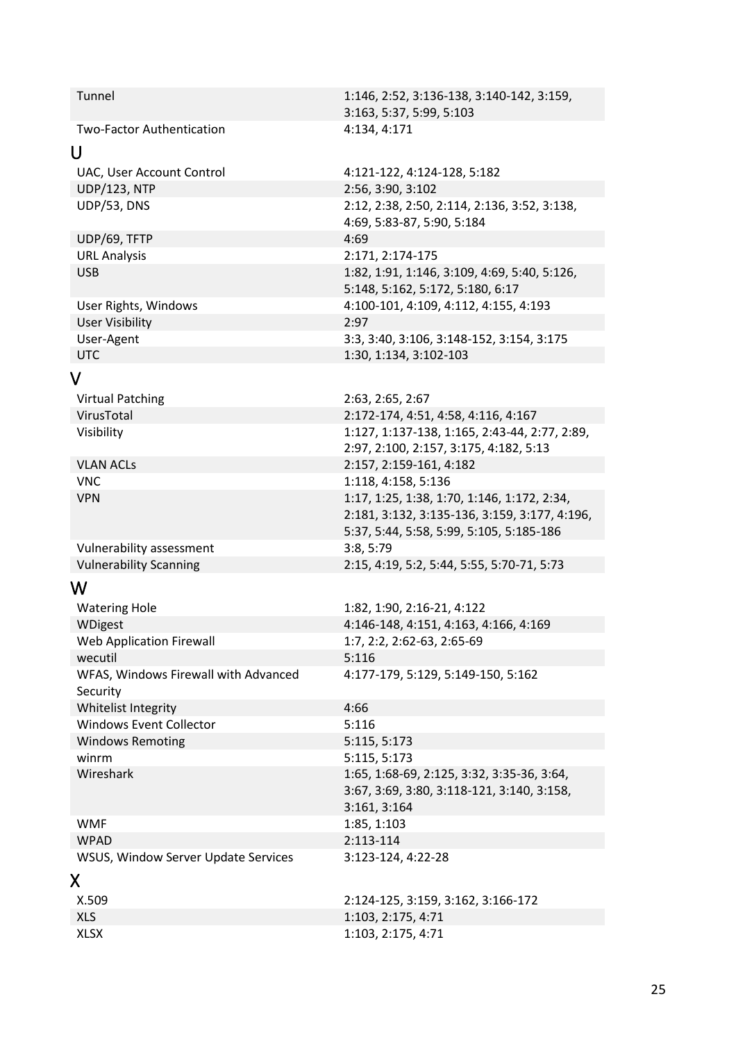<span id="page-24-3"></span><span id="page-24-2"></span><span id="page-24-1"></span><span id="page-24-0"></span>

|                                      | 3:163, 5:37, 5:99, 5:103                                            |
|--------------------------------------|---------------------------------------------------------------------|
| <b>Two-Factor Authentication</b>     | 4:134, 4:171                                                        |
| U                                    |                                                                     |
| UAC, User Account Control            | 4:121-122, 4:124-128, 5:182                                         |
| <b>UDP/123, NTP</b>                  | 2:56, 3:90, 3:102                                                   |
| UDP/53, DNS                          | 2:12, 2:38, 2:50, 2:114, 2:136, 3:52, 3:138,                        |
|                                      | 4:69, 5:83-87, 5:90, 5:184                                          |
| UDP/69, TFTP                         | 4:69                                                                |
| <b>URL Analysis</b>                  | 2:171, 2:174-175                                                    |
| <b>USB</b>                           | 1:82, 1:91, 1:146, 3:109, 4:69, 5:40, 5:126,                        |
|                                      | 5:148, 5:162, 5:172, 5:180, 6:17                                    |
| User Rights, Windows                 | 4:100-101, 4:109, 4:112, 4:155, 4:193                               |
| <b>User Visibility</b>               | 2:97                                                                |
| User-Agent                           | 3:3, 3:40, 3:106, 3:148-152, 3:154, 3:175                           |
| <b>UTC</b>                           | 1:30, 1:134, 3:102-103                                              |
| V                                    |                                                                     |
| <b>Virtual Patching</b>              | 2:63, 2:65, 2:67                                                    |
| VirusTotal                           | 2:172-174, 4:51, 4:58, 4:116, 4:167                                 |
| Visibility                           | 1:127, 1:137-138, 1:165, 2:43-44, 2:77, 2:89,                       |
|                                      | 2:97, 2:100, 2:157, 3:175, 4:182, 5:13                              |
| <b>VLAN ACLs</b>                     | 2:157, 2:159-161, 4:182                                             |
| <b>VNC</b>                           | 1:118, 4:158, 5:136                                                 |
| <b>VPN</b>                           | 1:17, 1:25, 1:38, 1:70, 1:146, 1:172, 2:34,                         |
|                                      | 2:181, 3:132, 3:135-136, 3:159, 3:177, 4:196,                       |
|                                      | 5:37, 5:44, 5:58, 5:99, 5:105, 5:185-186                            |
| Vulnerability assessment             | 3:8, 5:79                                                           |
| <b>Vulnerability Scanning</b>        | 2:15, 4:19, 5:2, 5:44, 5:55, 5:70-71, 5:73                          |
| W                                    |                                                                     |
|                                      |                                                                     |
| <b>Watering Hole</b><br>WDigest      | 1:82, 1:90, 2:16-21, 4:122<br>4:146-148, 4:151, 4:163, 4:166, 4:169 |
| <b>Web Application Firewall</b>      | 1:7, 2:2, 2:62-63, 2:65-69                                          |
| wecutil                              | 5:116                                                               |
| WFAS, Windows Firewall with Advanced | 4:177-179, 5:129, 5:149-150, 5:162                                  |
| Security                             |                                                                     |
| Whitelist Integrity                  | 4:66                                                                |
| <b>Windows Event Collector</b>       | 5:116                                                               |
| <b>Windows Remoting</b>              | 5:115, 5:173                                                        |
| winrm                                | 5:115, 5:173                                                        |
| Wireshark                            | 1:65, 1:68-69, 2:125, 3:32, 3:35-36, 3:64,                          |
|                                      | 3:67, 3:69, 3:80, 3:118-121, 3:140, 3:158,                          |
|                                      | 3:161, 3:164                                                        |
| <b>WMF</b>                           | 1:85, 1:103                                                         |
| <b>WPAD</b>                          | 2:113-114                                                           |
| WSUS, Window Server Update Services  | 3:123-124, 4:22-28                                                  |
| X.                                   |                                                                     |
|                                      |                                                                     |
| X.509                                | 2:124-125, 3:159, 3:162, 3:166-172                                  |
| <b>XLS</b>                           | 1:103, 2:175, 4:71                                                  |
| <b>XLSX</b>                          | 1:103, 2:175, 4:71                                                  |
|                                      |                                                                     |

Tunnel 1:146, 2:52, 3:136-138, 3:140-142, 3:159,